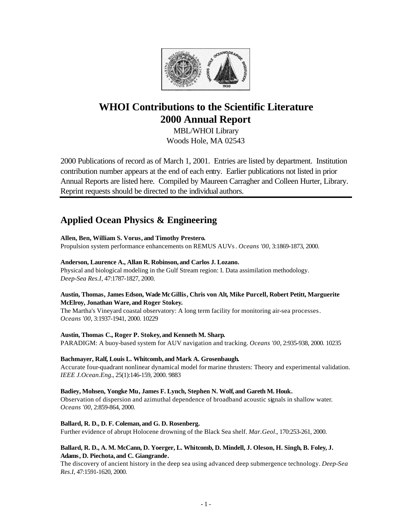

# **WHOI Contributions to the Scientific Literature 2000 Annual Report**

MBL/WHOI Library Woods Hole, MA 02543

2000 Publications of record as of March 1, 2001. Entries are listed by department. Institution contribution number appears at the end of each entry. Earlier publications not listed in prior Annual Reports are listed here. Compiled by Maureen Carragher and Colleen Hurter, Library. Reprint requests should be directed to the individual authors.

# **Applied Ocean Physics & Engineering**

# **Allen, Ben, William S. Vorus, and Timothy Prestero.**

Propulsion system performance enhancements on REMUS AUVs. *Oceans '00*, 3:1869-1873, 2000.

# **Anderson, Laurence A., Allan R. Robinson, and Carlos J. Lozano.**

Physical and biological modeling in the Gulf Stream region: I. Data assimilation methodology. *Deep-Sea Res.I*, 47:1787-1827, 2000.

# **Austin, Thomas, James Edson, Wade McGillis, Chris von Alt, Mike Purcell, Robert Petitt, Marguerite McElroy, Jonathan Ware, and Roger Stokey.**

The Martha's Vineyard coastal observatory: A long term facility for monitoring air-sea processes. *Oceans '00*, 3:1937-1941, 2000. 10229

# **Austin, Thomas C., Roger P. Stokey, and Kenneth M. Sharp.**

PARADIGM: A buoy-based system for AUV navigation and tracking. *Oceans '00*, 2:935-938, 2000. 10235

# **Bachmayer, Ralf, Louis L. Whitcomb, and Mark A. Grosenbaugh.**

Accurate four-quadrant nonlinear dynamical model for marine thrusters: Theory and experimental validation. *IEEE J.Ocean.Eng.*, 25(1):146-159, 2000. 9883

# **Badiey, Mohsen, Yongke Mu, James F. Lynch, Stephen N. Wolf, and Gareth M. Houk.**

Observation of dispersion and azimuthal dependence of broadband acoustic signals in shallow water. *Oceans '00*, 2:859-864, 2000.

# **Ballard, R. D., D. F. Coleman, and G. D. Rosenberg.**

Further evidence of abrupt Holocene drowning of the Black Sea shelf. *Mar.Geol.*, 170:253-261, 2000.

# **Ballard, R. D., A. M. McCann, D. Yoerger, L. Whitcomb, D. Mindell, J. Oleson, H. Singh, B. Foley, J. Adams, D. Piechota, and C. Giangrande.**

The discovery of ancient history in the deep sea using advanced deep submergence technology. *Deep-Sea Res.I*, 47:1591-1620, 2000.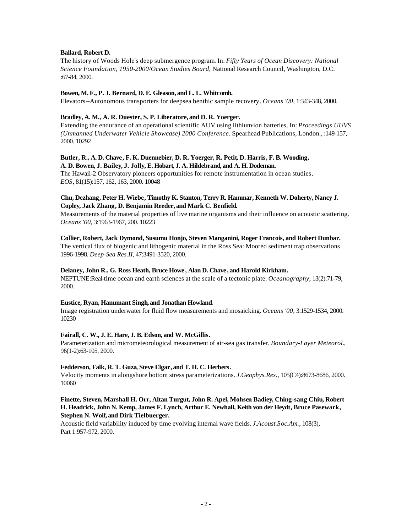# **Ballard, Robert D.**

The history of Woods Hole's deep submergence program. In: *Fifty Years of Ocean Discovery: National Science Foundation, 1950-2000/Ocean Studies Board,* National Research Council, Washington, D.C. :67-84, 2000.

## **Bowen, M. F., P. J. Bernard, D. E. Gleason, and L. L. Whitcomb.**

Elevators--Autonomous transporters for deepsea benthic sample recovery. *Oceans '00*, 1:343-348, 2000.

# **Bradley, A. M., A. R. Duester, S. P. Liberatore, and D. R. Yoerger.**

Extending the endurance of an operational scientific AUV using lithium-ion batteries. In: *Proceedings UUVS (Unmanned Underwater Vehicle Showcase) 2000 Conference.* Spearhead Publications, London*.*, :149-157, 2000. 10292

#### **Butler, R., A. D. Chave, F. K. Duennebier, D. R. Yoerger, R. Petit, D. Harris, F. B. Wooding, A. D. Bowen, J. Bailey, J. Jolly, E. Hobart, J. A. Hildebrand, and A. H. Dodeman.**

The Hawaii-2 Observatory pioneers opportunities for remote instrumentation in ocean studies. *EOS*, 81(15):157, 162, 163, 2000. 10048

# **Chu, Dezhang, Peter H. Wiebe, Timothy K. Stanton, Terry R. Hammar, Kenneth W. Doherty, Nancy J. Copley, Jack Zhang, D. Benjamin Reeder, and Mark C. Benfield.**

Measurements of the material properties of live marine organisms and their influence on acoustic scattering. *Oceans '00*, 3:1963-1967, 200. 10223

**Collier, Robert, Jack Dymond, Susumu Honjo, Steven Manganini, Roger Francois, and Robert Dunbar.** The vertical flux of biogenic and lithogenic material in the Ross Sea: Moored sediment trap observations 1996-1998. *Deep-Sea Res.II*, 47:3491-3520, 2000.

# **Delaney, John R., G. Ross Heath, Bruce Howe , Alan D. Chave , and Harold Kirkham.**

NEPTUNE:Real-time ocean and earth sciences at the scale of a tectonic plate. *Oceanography*, 13(2):71-79, 2000.

#### **Eustice, Ryan, Hanumant Singh, and Jonathan Howland.**

Image registration underwater for fluid flow measurements and mosaicking. *Oceans '00*, 3:1529-1534, 2000. 10230

#### **Fairall, C. W., J. E. Hare, J. B. Edson, and W. McGillis.**

Parameterization and micrometeorological measurement of air-sea gas transfer. *Boundary-Layer Meteorol.*, 96(1-2):63-105, 2000.

#### **Fedderson, Falk, R. T. Guza, Steve Elgar, and T. H. C. Herbers.**

Velocity moments in alongshore bottom stress parameterizations. *J.Geophys.Res.*, 105(C4):8673-8686, 2000. 10060

# **Finette, Steven, Marshall H. Orr, Altan Turgut, John R. Apel, Mohsen Badiey, Ching-sang Chiu, Robert H. Headrick, John N. Kemp, James F. Lynch, Arthur E. Newhall, Keith von der Heydt, Bruce Pasewark, Stephen N. Wolf, and Dirk Tielbuerger.**

Acoustic field variability induced by time evolving internal wave fields. *J.Acoust.Soc.Am.*, 108(3), Part 1:957-972, 2000.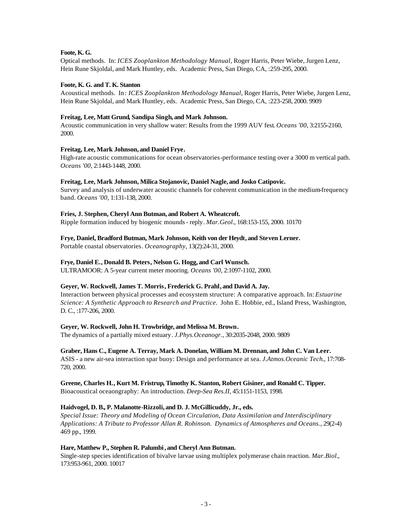# **Foote, K. G.**

Optical methods. In: *ICES Zooplankton Methodology Manual*, Roger Harris, Peter Wiebe, Jurgen Lenz, Hein Rune Skjoldal, and Mark Huntley, eds. Academic Press, San Diego, CA, :259-295, 2000.

# **Foote, K. G. and T. K. Stanton**

Acoustical methods. In*: ICES Zooplankton Methodology Manual*, Roger Harris, Peter Wiebe, Jurgen Lenz, Hein Rune Skjoldal, and Mark Huntley, eds. Academic Press, San Diego, CA, :223-258, 2000. 9909

# **Freitag, Lee, Matt Grund, Sandipa Singh, and Mark Johnson.**

Acoustic communication in very shallow water: Results from the 1999 AUV fest. *Oceans '00*, 3:2155-2160, 2000.

# **Freitag, Lee, Mark Johnson, and Daniel Frye.**

High-rate acoustic communications for ocean observatories-performance testing over a 3000 m vertical path. *Oceans '00*, 2:1443-1448, 2000.

# **Freitag, Lee, Mark Johnson, Milica Stojanovic, Daniel Nagle, and Josko Catipovic.**

Survey and analysis of underwater acoustic channels for coherent communication in the medium-frequency band. *Oceans '00*, 1:131-138, 2000.

# **Fries, J. Stephen, Cheryl Ann Butman, and Robert A. Wheatcroft.**

Ripple formation induced by biogenic mounds - reply. *Mar.Geol.*, 168:153-155, 2000. 10170

# **Frye, Daniel, Bradford Butman, Mark Johnson, Keith von der Heydt, and Steven Lerner.**

Portable coastal observatories. *Oceanography*, 13(2):24-31, 2000.

# **Frye, Daniel E., Donald B. Peters, Nelson G. Hogg, and Carl Wunsch.**

ULTRAMOOR: A 5-year current meter mooring. *Oceans '00*, 2:1097-1102, 2000.

# **Geyer, W. Rockwell, James T. Morris, Frederick G. Prahl, and David A. Jay.**

Interaction between physical processes and ecosystem structure: A comparative approach. In: *Estuarine Science: A Synthetic Approach to Research and Practice*. John E. Hobbie, ed., Island Press, Washington, D. C., :177-206, 2000.

# **Geyer, W. Rockwell, John H. Trowbridge, and Melissa M. Brown.**

The dynamics of a partially mixed estuary. *J.Phys.Oceanogr.*, 30:2035-2048, 2000. 9809

# **Graber, Hans C., Eugene A. Terray, Mark A. Donelan, William M. Drennan, and John C. Van Leer.**

ASIS - a new air-sea interaction spar buoy: Design and performance at sea. *J.Atmos.Oceanic Tech.*, 17:708- 720, 2000.

#### **Greene, Charles H., Kurt M. Fristrup, Timothy K. Stanton, Robert Gisiner, and Ronald C. Tipper.**

Bioacoustical oceaongraphy: An introduction. *Deep-Sea Res.II*, 45:1151-1153, 1998.

#### **Haidvogel, D. B., P. Malanotte-Rizzoli, and D. J. McGillicuddy, Jr., eds.**

*Special Issue: Theory and Modeling of Ocean Circulation, Data Assimilation and Interdisciplinary Applications: A Tribute to Professor Allan R. Robinson. Dynamics of Atmospheres and Oceans.*, 29(2-4) 469 pp., 1999.

#### **Hare, Matthew P., Stephen R. Palumbi, and Cheryl Ann Butman.**

Single-step species identification of bivalve larvae using multiplex polymerase chain reaction. *Mar.Biol.*, 173:953-961, 2000. 10017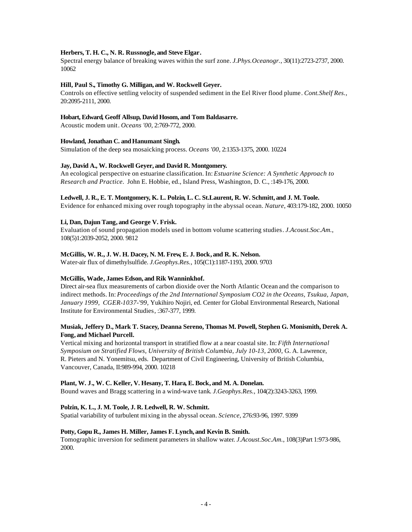# **Herbers, T. H. C., N. R. Russnogle, and Steve Elgar.**

Spectral energy balance of breaking waves within the surf zone. *J.Phys.Oceanogr.*, 30(11):2723-2737, 2000. 10062

# **Hill, Paul S., Timothy G. Milligan, and W. Rockwell Geyer.**

Controls on effective settling velocity of suspended sediment in the Eel River flood plume. *Cont.Shelf Res.*, 20:2095-2111, 2000.

## **Hobart, Edward, Geoff Allsup, David Hosom, and Tom Baldasarre.**

Acoustic modem unit. *Oceans '00*, 2:769-772, 2000.

# Howland, Jonathan C. and Hanumant Singh.

Simulation of the deep sea mosaicking process. *Oceans '00*, 2:1353-1375, 2000. 10224

# **Jay, David A., W. Rockwell Geyer, and David R. Montgomery.**

An ecological perspective on estuarine classification. In: *Estuarine Science: A Synthetic Approach to Research and Practice*. John E. Hobbie, ed., Island Press, Washington, D. C*.*, :149-176, 2000.

# **Ledwell, J. R., E. T. Montgomery, K. L. Polzin, L. C. St.Laurent, R. W. Schmitt, and J. M. Toole.**

Evidence for enhanced mixing over rough topography in the abyssal ocean. *Nature*, 403:179-182, 2000. 10050

# **Li, Dan, Dajun Tang, and George V. Frisk.**

Evaluation of sound propagation models used in bottom volume scattering studies. *J.Acoust.Soc.Am.*, 108(5)1:2039-2052, 2000. 9812

# **McGillis, W. R., J. W. H. Dacey, N. M. Frew, E. J. Bock, and R. K. Nelson.**

Water-air flux of dimethylsulfide. *J.Geophys.Res.*, 105(C1):1187-1193, 2000. 9703

#### **McGillis, Wade, James Edson, and Rik Wanninkhof.**

Direct air-sea flux measurements of carbon dioxide over the North Atlantic Ocean and the comparison to indirect methods. In: *Proceedings of the 2nd International Symposium CO2 in the Oceans, Tsukua, Japan, January 1999, CGER-1037-'99,* Yukihiro Nojiri, ed. Center for Global Environmental Research, National Institute for Environmental Studies, :367-377, 1999.

# **Musiak, Jeffery D., Mark T. Stacey, Deanna Sereno, Thomas M. Powell, Stephen G. Monismith, Derek A. Fong, and Michael Purcell.**

Vertical mixing and horizontal transport in stratified flow at a near coastal site. In: *Fifth International Symposium on Stratified Flows, University of British Columbia, July 10-13, 2000,* G. A. Lawrence, R. Pieters and N. Yonemitsu, eds. Department of Civil Engineering, University of British Columbia, Vancouver, Canada, II:989-994, 2000. 10218

#### **Plant, W. J., W. C. Keller, V. Hesany, T. Hara, E. Bock, and M. A. Donelan.**

Bound waves and Bragg scattering in a wind-wave tank. *J.Geophys.Res.*, 104(2):3243-3263, 1999.

#### **Polzin, K. L., J. M. Toole, J. R. Ledwell, R. W. Schmitt.**

Spatial variability of turbulent mixing in the abyssal ocean. *Science*, 276:93-96, 1997. 9399

#### **Potty, Gopu R., James H. Miller, James F. Lynch, and Kevin B. Smith.**

Tomographic inversion for sediment parameters in shallow water. *J.Acoust.Soc.Am.*, 108(3)Part 1:973-986, 2000.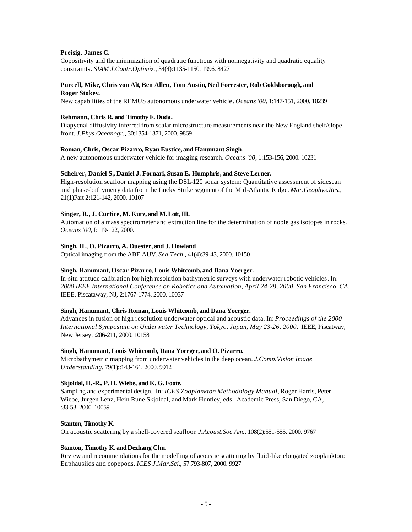# **Preisig, James C.**

Copositivity and the minimization of quadratic functions with nonnegativity and quadratic equality constraints. *SIAM J.Contr.Optimiz.*, 34(4):1135-1150, 1996. 8427

## **Purcell, Mike, Chris von Alt, Ben Allen, Tom Austin, Ned Forrester, Rob Goldsborough, and Roger Stokey.**

New capabilities of the REMUS autonomous underwater vehicle. *Oceans '00*, 1:147-151, 2000. 10239

#### **Rehmann, Chris R. and Timothy F. Duda.**

Diapycnal diffusivity inferred from scalar microstructure measurements near the New England shelf/slope front. *J.Phys.Oceanogr.*, 30:1354-1371, 2000. 9869

#### **Roman, Chris, Oscar Pizarro, Ryan Eustice, and Hanumant Singh.**

A new autonomous underwater vehicle for imaging research. *Oceans '00*, 1:153-156, 2000. 10231

#### **Scheirer, Daniel S., Daniel J. Fornari, Susan E. Humphris, and Steve Lerner.**

High-resolution seafloor mapping using the DSL-120 sonar system: Quantitative assessment of sidescan and phase-bathymetry data from the Lucky Strike segment of the Mid-Atlantic Ridge. *Mar.Geophys.Res.*, 21(1)Part 2:121-142, 2000. 10107

#### **Singer, R., J. Curtice, M. Kurz, and M. Lott, III.**

Automation of a mass spectrometer and extraction line for the determination of noble gas isotopes in rocks. *Oceans '00*, I:119-122, 2000.

#### **Singh, H., O. Pizarro, A. Duester, and J. Howland.**

Optical imaging from the ABE AUV. *Sea Tech.*, 41(4):39-43, 2000. 10150

# **Singh, Hanumant, Oscar Pizarro, Louis Whitcomb, and Dana Yoerger.**

In-situ attitude calibration for high resolution bathymetric surveys with underwater robotic vehicles. In: *2000 IEEE International Conference on Robotics and Automation, April 24-28, 2000, San Francisco, CA*, IEEE, Piscataway, NJ, 2:1767-1774, 2000. 10037

#### **Singh, Hanumant, Chris Roman, Louis Whitcomb, and Dana Yoerger.**

Advances in fusion of high resolution underwater optical and acoustic data. In: *Proceedings of the 2000 International Symposium on Underwater Technology, Tokyo, Japan, May 23-26, 2000*. IEEE, Piscatway, New Jersey, :206-211, 2000. 10158

#### **Singh, Hanumant, Louis Whitcomb, Dana Yoerger, and O. Pizarro.**

Microbathymetric mapping from underwater vehicles in the deep ocean. *J.Comp.Vision Image Understanding*, 79(1)::143-161, 2000. 9912

#### **Skjoldal, H.-R., P. H. Wiebe, and K. G. Foote.**

Sampling and experimental design. In: *ICES Zooplankton Methodology Manual*, Roger Harris, Peter Wiebe, Jurgen Lenz, Hein Rune Skjoldal, and Mark Huntley, eds. Academic Press, San Diego, CA, :33-53, 2000. 10059

#### **Stanton, Timothy K.**

On acoustic scattering by a shell-covered seafloor. *J.Acoust.Soc.Am.*, 108(2):551-555, 2000. 9767

# **Stanton, Timothy K. and Dezhang Chu.**

Review and recommendations for the modelling of acoustic scattering by fluid-like elongated zooplankton: Euphausiids and copepods. *ICES J.Mar.Sci.*, 57:793-807, 2000. 9927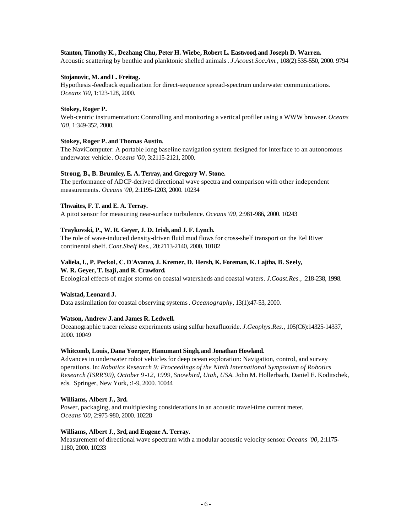#### **Stanton, Timothy K., Dezhang Chu, Peter H. Wiebe, Robert L. Eastwood, and Joseph D. Warren.**

Acoustic scattering by benthic and planktonic shelled animals. *J.Acoust.Soc.Am.*, 108(2):535-550, 2000. 9794

#### **Stojanovic, M. andL. Freitag.**

Hypothesis-feedback equalization for direct-sequence spread-spectrum underwater communications. *Oceans '00*, 1:123-128, 2000.

#### **Stokey, Roger P.**

Web-centric instrumentation: Controlling and monitoring a vertical profiler using a WWW browser. *Oceans '00*, 1:349-352, 2000.

#### **Stokey, Roger P. and Thomas Austin.**

The NaviComputer: A portable long baseline navigation system designed for interface to an autonomous underwater vehicle. *Oceans '00*, 3:2115-2121, 2000.

#### **Strong, B., B. Brumley, E. A. Terray, and Gregory W. Stone.**

The performance of ADCP-derived directional wave spectra and comparison with other independent measurements. *Oceans '00*, 2:1195-1203, 2000. 10234

#### **Thwaites, F. T. and E. A. Terray.**

A pitot sensor for measuring near-surface turbulence. *Oceans '00*, 2:981-986, 2000. 10243

#### **Traykovski, P., W. R. Geyer, J. D. Irish, and J. F. Lynch.**

The role of wave-induced density-driven fluid mud flows for cross-shelf transport on the Eel River continental shelf. *Cont.Shelf Res.*, 20:2113-2140, 2000. 10182

#### **Valiela, I., P. Peckol, C. D'Avanzo, J. Kremer, D. Hersh, K. Foreman, K. Lajtha, B. Seely, W. R. Geyer, T. Isaji, and R. Crawford.**

Ecological effects of major storms on coastal watersheds and coastal waters. *J.Coast.Res.*, :218-238, 1998.

#### **Walstad, Leonard J.**

Data assimilation for coastal observing systems. *Oceanography*, 13(1):47-53, 2000.

#### **Watson, Andrew J. and James R. Ledwell.**

Oceanographic tracer release experiments using sulfur hexafluoride. *J.Geophys.Res.*, 105(C6):14325-14337, 2000. 10049

#### **Whitcomb, Louis, Dana Yoerger, Hanumant Singh, and Jonathan Howland.**

Advances in underwater robot vehicles for deep ocean exploration: Navigation, control, and survey operations. In: *Robotics Research 9: Proceedings of the Ninth International Symposium of Robotics Research (ISRR'99), October 9-12, 1999, Snowbird, Utah, USA.* John M. Hollerbach, Daniel E. Koditschek, eds. Springer, New York, :1-9, 2000. 10044

#### **Williams, Albert J., 3rd.**

Power, packaging, and multiplexing considerations in an acoustic travel-time current meter. *Oceans '00*, 2:975-980, 2000. 10228

#### **Williams, Albert J., 3rd, and Eugene A. Terray.**

Measurement of directional wave spectrum with a modular acoustic velocity sensor. *Oceans '00*, 2:1175- 1180, 2000. 10233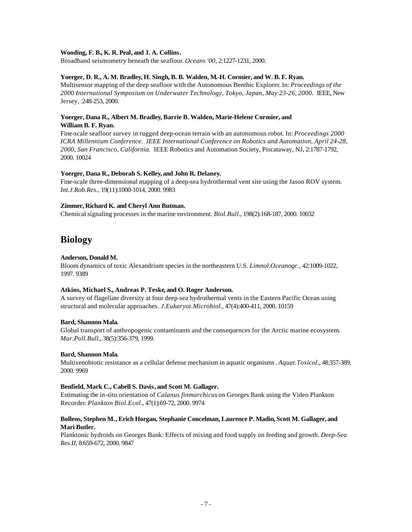## **Wooding, F. B., K. R. Peal, and J. A. Collins.**

Broadband seismometry beneath the seafloor. *Oceans '00*, 2:1227-1231, 2000.

# **Yoerger, D. R., A. M. Bradley, H. Singh, B. B. Walden, M.-H. Cormier, and W. B. F. Ryan.**

Multisensor mapping of the deep seafloor with the Autonomous Benthic Explorer. In: *Proceedings of the 2000 International Symposium on Underwater Technology, Tokyo, Japan, May 23-26, 2000.* IEEE, New Jersey, :248-253, 2000.

# **Yoerger, Dana R., Albert M. Bradley, Barrie B. Walden, Marie-Helene Cormier, and William B. F. Ryan.**

Fine-scale seafloor survey in rugged deep-ocean terrain with an autonomous robot. In: *Proceedings 2000 ICRA Millennium Conference. IEEE International Conference on Robotics and Automation, April 24-28, 2000, San Francisco, California.* IEEE Robotics and Automation Society, Piscataway, NJ, 2:1787-1792, 2000. 10024

# **Yoerger, Dana R., Deborah S. Kelley, and John R. Delaney.**

Fine-scale three-dimensional mapping of a deep-sea hydrothermal vent site using the Jason ROV system. *Int.J.Rob.Res.*, 19(11):1000-1014, 2000. 9983

# **Zimmer, Richard K. and Cheryl Ann Butman.**

Chemical signaling processes in the marine environment. *Biol.Bull.*, 198(2):168-187, 2000. 10032

# **Biology**

# **Anderson, Donald M.**

Bloom dynamics of toxic Alexandrium species in the northeastern U.S. *Limnol.Oceanogr.*, 42:1009-1022, 1997. 9389

# **Atkins, Michael S., Andreas P. Teske, and O. Roger Anderson.**

A survey of flagellate diversity at four deep-sea hydrothermal vents in the Eastern Pacific Ocean using structural and molecular approaches. *J.Eukaryot.Microbiol.*, 47(4):400-411, 2000. 10159

#### **Bard, Shannon Mala.**

Global transport of anthropogenic contaminants and the consequences for the Arctic marine ecosystem. *Mar.Poll.Bull.*, 38(5):356-379, 1999.

#### **Bard, Shannon Mala.**

Multixenobiotic resistance as a cellular defense mechanism in aquatic organisms. *Aquat.Toxicol.*, 48:357-389, 2000. 9969

#### **Benfield, Mark C., Cabell S. Davis, and Scott M. Gallager.**

Estimating the in-situ orientation of *Calanus finmarchicus* on Georges Bank using the Video Plankton Recorder. *Plankton Biol.Ecol.*, 47(1):69-72, 2000. 9974

# **Bollens, Stephen M., Erich Horgan, Stephanie Concelman, Laurence P. Madin, Scott M. Gallager, and Mari Butler.**

Planktonic hydroids on Georges Bank: Effects of mixing and food supply on feeding and growth. *Deep-Sea Res.II*, 8:659-672, 2000. 9847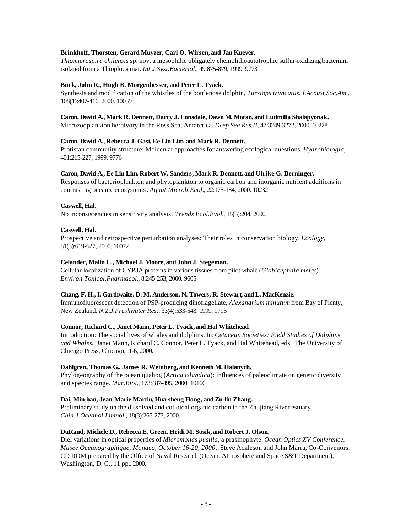# **Brinkhoff, Thorsten, Gerard Muyzer, Carl O. Wirsen, and Jan Kuever.**

*Thiomicrospira chilensis* sp. nov. a mesophilic obligately chemolithoautotrophic sulfur-oxidizing bacterium isolated from a Thioploca mat. *Int.J.Syst.Bacteriol.*, 49:875-879, 1999. 9773

# **Buck, John R., Hugh B. Morgenbesser, and Peter L. Tyack.**

Synthesis and modification of the whistles of the bottlenose dolphin, *Tursiops truncatus*. *J.Acoust.Soc.Am.*, 108(1):407-416, 2000. 10039

## **Caron, David A., Mark R. Dennett, Darcy J. Lonsdale, Dawn M. Moran, and Ludmilla Shalapyonak.**

Microzooplankton herbivory in the Ross Sea, Antarctica. *Deep Sea Res.II*, 47:3249-3272, 2000. 10278

# **Caron, David A., Rebecca J. Gast, Ee Lin Lim, and Mark R. Dennett.**

Protistan community structure: Molecular approaches for answering ecological questions. *Hydrobiologia*, 401:215-227, 1999. 9776

# **Caron, David A., Ee Lin Lim, Robert W. Sanders, Mark R. Dennett, and Ulrike-G. Berninger.**

Responses of bacterioplankton and phytoplankton to organic carbon and inorganic nutrient additions in contrasting oceanic ecosystems. *Aquat.Microb.Ecol.*, 22:175-184, 2000. 10232

# **Caswell, Hal.**

No inconsistencies in sensitivity analysis. *Trends Ecol.Evol.*, 15(5):204, 2000.

# **Caswell, Hal.**

Prospective and retrospective perturbation analyses: Their roles in conservation biology. *Ecology*, 81(3):619-627, 2000. 10072

# **Celander, Malin C., Michael J. Moore, and John J. Stegeman.**

Cellular localization of CYP3A proteins in various tissues from pilot whale (*Globicephala melas*). *Environ.Toxicol.Pharmacol.*, 8:245-253, 2000. 9605

#### **Chang, F. H., I. Garthwaite, D. M. Anderson, N. Towers, R. Stewart, and L. MacKenzie.**

Immunofluorescent detection of PSP-producing dinoflagellate, *Alexandrium minutum* from Bay of Plenty, New Zealand. *N.Z.J.Freshwater Res.*, 33(4):533-543, 1999. 9793

#### **Connor, Richard C., Janet Mann, Peter L. Tyack, and Hal Whitehead.**

Introduction: The social lives of whales and dolphins. In: *Cetacean Societies: Field Studies of Dolphins and Whales.* Janet Mann, Richard C. Connor, Peter L. Tyack, and Hal Whitehead, eds. The University of Chicago Press, Chicago, :1-6, 2000.

#### **Dahlgren, Thomas G., James R. Weinberg, and Kenneth M. Halanych.**

Phylogeography of the ocean quahog (*Artica islandica*): Influences of paleoclimate on genetic diversity and species range. *Mar.Biol.*, 173:487-495, 2000. 10166

# **Dai, Min-han, Jean-Marie Martin, Hua-sheng Hong, and Zu-lin Zhang.**

Preliminary study on the dissolved and colloidal organic carbon in the Zhujiang River estuary. *Chin.J.Oceanol.Limnol.*, 18(3):265-273, 2000.

# **DuRand, Michele D., Rebecca E. Green, Heidi M. Sosik, and Robert J. Olson.**

Diel variations in optical properties of *Micromonas pusilla*, a prasinophyte. *Ocean Optics XV Conference. Musee Oceanographique, Monaco, October 16-20, 2000*. Steve Ackleson and John Marra, Co-Convenors. CD ROM prepared by the Office of Naval Research (Ocean, Atmosphere and Space S&T Department), Washington, D. C., 11 pp., 2000.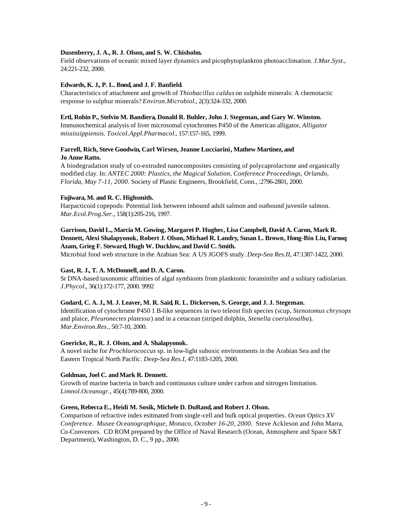# **Dusenberry, J. A., R. J. Olson, and S. W. Chisholm.**

Field observations of oceanic mixed layer dynamics and picophytoplankton photoacclimation. *J.Mar.Syst.*, 24:221-232, 2000.

## **Edwards, K. J., P. L. Bond, and J. F. Banfield.**

Characteristics of attachment and growth of *Thiobacillus caldus* on sulphide minerals: A chemotactic response to sulphur minerals? *Environ.Microbiol.*, 2(3):324-332, 2000.

#### **Ertl, Robin P., Stelvio M. Bandiera, Donald R. Buhler, John J. Stegeman, and Gary W. Winston.**

Immunochemical analysis of liver microsomal cytochromes P450 of the American alligator, *Alligator mississippiensis*. *Toxicol.Appl.Pharmacol.*, 157:157-165, 1999.

# **Farrell, Rich, Steve Goodwin, Carl Wirsen, Jeanne Lucciarini, Mathew Martinez, and Jo Anne Ratto.**

A biodegradation study of co-extruded nanocomposites consisting of polycaprolactone and organically modified clay. In: *ANTEC 2000: Plastics, the Magical Solution, Conference Proceedings, Orlando, Florida, May 7-11, 2000.* Society of Plastic Engineers, Brookfield, Conn*.*, :2796-2801, 2000.

#### **Fujiwara, M. and R. C. Highsmith.**

Harpacticoid copepods: Potential link between inbound adult salmon and outbound juvenile salmon. *Mar.Ecol.Prog.Ser.*, 158(1):205-216, 1997.

# **Garrison, David L., Marcia M. Gowing, Margaret P. Hughes, Lisa Campbell, David A. Caron, Mark R. Dennett, Alexi Shalapyonok, Robert J. Olson, Michael R. Landry, Susan L. Brown, Hong-Bin Liu, Farooq Azam, Grieg F. Steward, Hugh W. Ducklow, and David C. Smith.**

Microbial food web structure in the Arabian Sea: A US JGOFS study. *Deep-Sea Res.II*, 47:1387-1422, 2000.

#### **Gast, R. J., T. A. McDonnell, and D. A. Caron.**

Sr DNA-based taxonomic affinities of algal symbionts from planktonic foraminifer and a solitary radiolarian. *J.Phycol.*, 36(1):172-177, 2000. 9992

#### **Godard, C. A. J., M. J. Leaver, M. R. Said, R. L. Dickerson, S. George, and J. J. Stegeman.**

Identification of cytochrome P450 1 B-like sequences in two teleost fish species (scup, *Stenotomus chrysops* and plaice, *Pleuronectes platessa*) and in a cetacean (striped dolphin, *Stenella coeruleoalba*). *Mar.Environ.Res.*, 50:7-10, 2000.

# **Goericke, R., R. J. Olson, and A. Shalapyonok.**

A novel niche for *Prochlorococcus* sp. in low-light suboxic environments in the Arabian Sea and the Eastern Tropical North Pacific. *Deep-Sea Res.I*, 47:1183-1205, 2000.

#### **Goldman, Joel C. andMark R. Dennett.**

Growth of marine bacteria in batch and continuous culture under carbon and nitrogen limitation. *Limnol.Oceanogr.*, 45(4):789-800, 2000.

#### **Green, Rebecca E., Heidi M. Sosik, Michele D. DuRand, and Robert J. Olson.**

Comparison of refractive index esitmated from single-cell and bulk optical properties. *Ocean Optics XV Conference. Musee Oceanographique, Monaco, October 16-20, 2000.* Steve Ackleson and John Marra, Co-Convenors. CD ROM prepared by the Office of Naval Research (Ocean, Atmosphere and Space S&T Department), Washington, D. C*.*, 9 pp., 2000.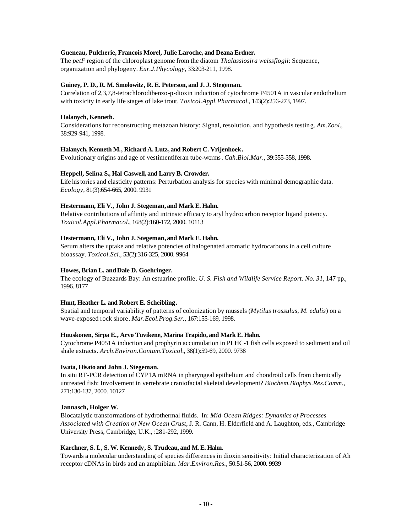## **Gueneau, Pulcherie, Francois Morel, Julie Laroche, and Deana Erdner.**

The *petF* region of the chloroplast genome from the diatom *Thalassiosira weissflogii*: Sequence, organization and phylogeny. *Eur.J.Phycology*, 33:203-211, 1998.

## **Guiney, P. D., R. M. Smolowitz, R. E. Peterson, and J. J. Stegeman.**

Correlation of 2,3,7,8-tetrachlorodibenzo-p-dioxin induction of cytochrome P4501A in vascular endothelium with toxicity in early life stages of lake trout. *Toxicol.Appl.Pharmacol.*, 143(2):256-273, 1997.

## **Halanych, Kenneth.**

Considerations for reconstructing metazoan history: Signal, resolution, and hypothesis testing. *Am.Zool.*, 38:929-941, 1998.

# **Halanych, Kenneth M., Richard A. Lutz, and Robert C. Vrijenhoek.**

Evolutionary origins and age of vestimentiferan tube-worms. *Cah.Biol.Mar.*, 39:355-358, 1998.

# **Heppell, Selina S., Hal Caswell, and Larry B. Crowder.**

Life histories and elasticity patterns: Perturbation analysis for species with minimal demographic data. *Ecology*, 81(3):654-665, 2000. 9931

# **Hestermann, Eli V., John J. Stegeman, and Mark E. Hahn.**

Relative contributions of affinity and intrinsic efficacy to aryl hydrocarbon receptor ligand potency. *Toxicol.Appl.Pharmacol.*, 168(2):160-172, 2000. 10113

# **Hestermann, Eli V., John J. Stegeman, and Mark E. Hahn.**

Serum alters the uptake and relative potencies of halogenated aromatic hydrocarbons in a cell culture bioassay. *Toxicol.Sci.*, 53(2):316-325, 2000. 9964

# **Howes, Brian L. andDale D. Goehringer.**

The ecology of Buzzards Bay: An estuarine profile. *U. S. Fish and Wildlife Service Report. No. 31*, 147 pp., 1996. 8177

# **Hunt, Heather L. and Robert E. Scheibling.**

Spatial and temporal variability of patterns of colonization by mussels (*Mytilus trossulus, M. edulis*) on a wave-exposed rock shore. *Mar.Ecol.Prog.Ser.*, 167:155-169, 1998.

#### **Huuskonen, Sirpa E., Arvo Tuvikene, Marina Trapido, and Mark E. Hahn.**

Cytochrome P4051A induction and prophyrin accumulation in PLHC-1 fish cells exposed to sediment and oil shale extracts. *Arch.Environ.Contam.Toxicol.*, 38(1):59-69, 2000. 9738

#### **Iwata, Hisato and John J. Stegeman.**

In situ RT-PCR detection of CYP1A mRNA in pharyngeal epithelium and chondroid cells from chemically untreated fish: Involvement in vertebrate craniofacial skeletal development? *Biochem.Biophys.Res.Comm.*, 271:130-137, 2000. 10127

#### **Jannasch, Holger W.**

Biocatalytic transformations of hydrothermal fluids. In: *Mid-Ocean Ridges: Dynamics of Processes Associated with Creation of New Ocean Crust*, J. R. Cann, H. Elderfield and A. Laughton, eds., Cambridge University Press, Cambridge, U.K., :281-292, 1999.

#### **Karchner, S. I., S. W. Kennedy, S. Trudeau, and M. E. Hahn.**

Towards a molecular understanding of species differences in dioxin sensitivity: Initial characterization of Ah receptor cDNAs in birds and an amphibian. *Mar.Environ.Res.*, 50:51-56, 2000. 9939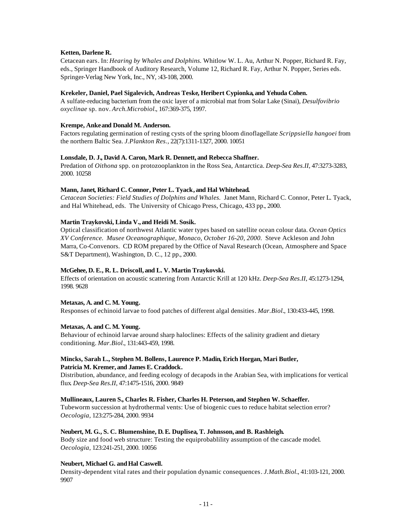## **Ketten, Darlene R.**

Cetacean ears. In: *Hearing by Whales and Dolphins.* Whitlow W. L. Au, Arthur N. Popper, Richard R. Fay, eds., Springer Handbook of Auditory Research, Volume 12, Richard R. Fay, Arthur N. Popper, Series eds. Springer-Verlag New York, Inc., NY, :43-108, 2000.

## **Krekeler, Daniel, Pael Sigalevich, Andreas Teske, Heribert Cypionka, and Yehuda Cohen.**

A sulfate-reducing bacterium from the oxic layer of a microbial mat from Solar Lake (Sinai), *Desulfovibrio oxyclinae* sp. nov. *Arch.Microbiol.*, 167:369-375, 1997.

# **Krempe, Anke and Donald M. Anderson.**

Factors regulating germination of resting cysts of the spring bloom dinoflagellate *Scrippsiella hangoei* from the northern Baltic Sea. *J.Plankton Res.*, 22(7):1311-1327, 2000. 10051

# **Lonsdale, D. J., David A. Caron, Mark R. Dennett, and Rebecca Shaffner.**

Predation of *Oithona* spp. on protozooplankton in the Ross Sea, Antarctica. *Deep-Sea Res.II*, 47:3273-3283, 2000. 10258

# **Mann, Janet, Richard C. Connor, Peter L. Tyack, and Hal Whitehead.**

*Cetacean Societies: Field Studies of Dolphins and Whales.* Janet Mann, Richard C. Connor, Peter L. Tyack, and Hal Whitehead, eds. The University of Chicago Press, Chicago, 433 pp., 2000.

# **Martin Traykovski, Linda V., and Heidi M. Sosik.**

Optical classification of northwest Atlantic water types based on satellite ocean colour data. *Ocean Optics XV Conference. Musee Oceanographique, Monaco, October 16-20, 2000.* Steve Ackleson and John Marra, Co-Convenors. CD ROM prepared by the Office of Naval Research (Ocean, Atmosphere and Space S&T Department), Washington, D. C., 12 pp., 2000.

# **McGehee, D. E., R. L. Driscoll, and L. V. Martin Traykovski.**

Effects of orientation on acoustic scattering from Antarctic Krill at 120 kHz. *Deep-Sea Res.II*, 45:1273-1294, 1998. 9628

# **Metaxas, A. and C. M. Young.**

Responses of echinoid larvae to food patches of different algal densities. *Mar.Biol.*, 130:433-445, 1998.

#### **Metaxas, A. and C. M. Young.**

Behaviour of echinoid larvae around sharp haloclines: Effects of the salinity gradient and dietary conditioning. *Mar.Biol.*, 131:443-459, 1998.

# **Mincks, Sarah L., Stephen M. Bollens, Laurence P. Madin, Erich Horgan, Mari Butler, Patricia M. Kremer, and James E. Craddock.**

Distribution, abundance, and feeding ecology of decapods in the Arabian Sea, with implications for vertical flux. *Deep-Sea Res.II*, 47:1475-1516, 2000. 9849

#### **Mullineaux, Lauren S., Charles R. Fisher, Charles H. Peterson, and Stephen W. Schaeffer.**

Tubeworm succession at hydrothermal vents: Use of biogenic cues to reduce habitat selection error? *Oecologia*, 123:275-284, 2000. 9934

# **Neubert, M. G., S. C. Blumenshine, D. E. Duplisea, T. Johnsson, and B. Rashleigh.**

Body size and food web structure: Testing the equiprobablility assumption of the cascade model. *Oecologia*, 123:241-251, 2000. 10056

# **Neubert, Michael G. andHal Caswell.**

Density-dependent vital rates and their population dynamic consequences. *J.Math.Biol.*, 41:103-121, 2000. 9907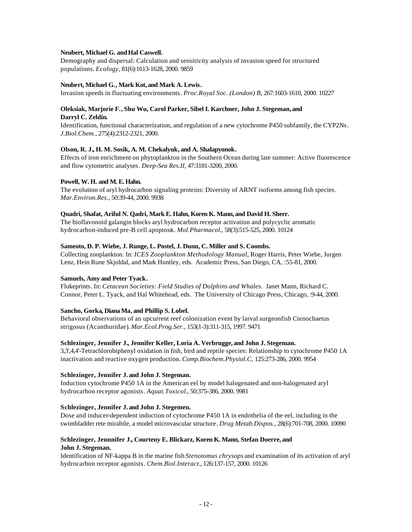# Neubert, Michael G. and Hal Caswell.

Demography and dispersal: Calculation and sensitivity analysis of invasion speed for structured populations. *Ecology*, 81(6):1613-1628, 2000. 9859

# **Neubert, Michael G., Mark Kot, and Mark A. Lewis.**

Invasion speeds in fluctuating environments. *Proc.Royal Soc. (London) B*, 267:1603-1610, 2000. 10227

## **Oleksiak, Marjorie F., Shu Wu, Carol Parker, Sibel I. Karchner, John J. Stegeman, and Darryl C. Zeldin.**

Identification, functional characterization, and regulation of a new cytochrome P450 subfamily, the CYP2Ns. *J.Biol.Chem.*, 275(4):2312-2321, 2000.

# **Olson, R. J., H. M. Sosik, A. M. Chekalyuk, and A. Shalapyonok.**

Effects of iron enrichment on phytoplankton in the Southern Ocean during late summer: Active fluorescence and flow cytometric analyses. *Deep-Sea Res.II*, 47:3181-3200, 2000.

# **Powell, W. H. and M. E. Hahn.**

The evolution of aryl hydrocarbon signaling proteins: Diversity of ARNT isoforms among fish species. *Mar.Environ.Res.*, 50:39-44, 2000. 9938

# **Quadri, Shafat, Ariful N. Qadri, Mark E. Hahn, Koren K. Mann, and David H. Sherr.**

The bioflavonoid galangin blocks aryl hydrocarbon receptor activation and polycyclic aromatic hydrocarbon-induced pre-B cell apoptosis. *Mol.Pharmacol.*, 58(3):515-525, 2000. 10124

# **Sameoto, D. P. Wiebe, J. Runge, L. Postel, J. Dunn, C. Miller and S. Coombs.**

Collecting zooplankton. In: *ICES Zooplankton Methodology Manual*, Roger Harris, Peter Wiebe, Jurgen Lenz, Hein Rune Skjoldal, and Mark Huntley, eds. Academic Press, San Diego, CA, :55-81, 2000.

#### **Samuels, Amy and Peter Tyack.**

Flukeprints. In: *Cetacean Societies: Field Studies of Dolphins and Whales.* Janet Mann, Richard C. Connor, Peter L. Tyack, and Hal Whitehead, eds. The University of Chicago Press, Chicago, :9-44, 2000.

# **Sancho, Gorka, Diana Ma, and Phillip S. Lobel.**

Behavioral observations of an upcurrent reef colonization event by larval surgeonfish Ctenochaetus strigosus (Acanthuridae). *Mar.Ecol.Prog.Ser.*, 153(1-3):311-315, 1997. 9471

# **Schlezinger, Jennifer J., Jennifer Keller, Loria A. Verbrugge, and John J. Stegeman.**

3,3',4,4'-Tetrachlorobiphenyl oxidation in fish, bird and reptile species: Relationship to cytochrome P450 1A inactivation and reactive oxygen production. *Comp.Biochem.Physiol.C,* 125:273-286, 2000. 9954

#### **Schlezinger, Jennifer J. and John J. Stegeman.**

Induction cytochrome P450 1A in the American eel by model halogenated and non-halogenated aryl hydrocarbon receptor agonists. *Aquat.Toxicol.*, 50:375-386, 2000. 9981

#### **Schlezinger, Jennifer J. and John J. Stegemen.**

Dose and inducer-dependent induction of cytochrome P450 1A in endothelia of the eel, including in the swimbladder rete mirabile, a model microvascular structure. *Drug Metab.Dispos.*, 28(6):701-708, 2000. 10090

# **Schlezinger, Jennnifer J., Courteny E. Blickarz, Koren K. Mann, Stefan Doerre, and John J. Stegeman.**

Identification of NF-kappa B in the marine fish *Stenotomus chrysops* and examination of its activation of aryl hydrocarbon receptor agonists. *Chem.Biol.Interact.*, 126:137-157, 2000. 10126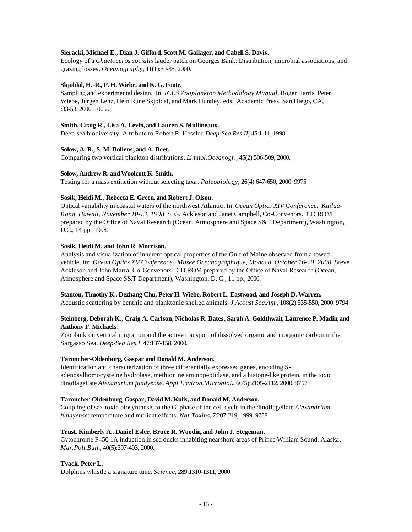# **Sieracki, Michael E., Dian J. Gifford, Scott M. Gallager, and Cabell S. Davis.**

Ecology of a *Chaetoceros socialis* lauder patch on Georges Bank: Distribution, microbial associations, and grazing losses. *Oceanography*, 11(1):30-35, 2000.

# **Skjoldal, H.-R., P. H. Wiebe, and K. G. Foote.**

Sampling and experimental design. In: *ICES Zooplankton Methodology Manual*, Roger Harris, Peter Wiebe, Jurgen Lenz, Hein Rune Skjoldal, and Mark Huntley, eds. Academic Press, San Diego, CA, :33-53, 2000. 10059

## **Smith, Craig R., Lisa A. Levin, and Lauren S. Mullineaux.**

Deep-sea biodiversity: A tribute to Robert R. Hessler. *Deep-Sea Res.II*, 45:1-11, 1998.

# **Solow, A. R., S. M. Bollens, and A. Beet.**

Comparing two vertical plankton distributions. *Limnol.Oceanogr.*, 45(2):506-509, 2000.

# **Solow, Andrew R. andWoolcott K. Smith.**

Testing for a mass extinction without selecting taxa . *Paleobiology*, 26(4):647-650, 2000. 9975

# **Sosik, Heidi M., Rebecca E. Green, and Robert J. Olson.**

Optical variability in coastal waters of the northwest Atlantic. In: *Ocean Optics XIV Conference. Kailua-Kong, Hawaii, November 10-13, 1998* S. G. Ackleson and Janet Campbell, Co-Convenors. CD ROM prepared by the Office of Naval Research (Ocean, Atmosphere and Space S&T Department), Washington, D.C., 14 pp., 1998.

# **Sosik, Heidi M. and John R. Morrison.**

Analysis and visualization of inherent optical properties of the Gulf of Maine observed from a towed vehicle. In: *Ocean Optics XV Conference. Musee Oceanographique, Monaco, October 16-20, 2000* Steve Ackleson and John Marra, Co-Convenors. CD ROM prepared by the Office of Naval Research (Ocean, Atmosphere and Space S&T Department), Washington, D. C., 11 pp., 2000.

#### **Stanton, Timothy K., Dezhang Chu, Peter H. Wiebe, Robert L. Eastwood, and Joseph D. Warren.**

Acoustic scattering by benthic and planktonic shelled animals. *J.Acoust.Soc.Am.*, 108(2):535-550, 2000. 9794

# **Steinberg, Deborah K., Craig A. Carlson, Nicholas R. Bates, Sarah A. Goldthwait, Laurence P. Madin, and Anthony F. Michaels.**

Zooplankton vertical migration and the active transport of dissolved organic and inorganic carbon in the Sargasso Sea. *Deep-Sea Res.I*, 47:137-158, 2000.

#### **Taroncher-Oldenburg, Gaspar and Donald M. Anderson.**

Identification and characterization of three differentially expressed genes, encoding Sadenosylhomocysteine hydrolase, methionine aminopeptidase, and a histone-like protein, in the toxic dinoflagellate *Alexandrium fundyense*. *Appl.Environ.Microbiol.*, 66(5):2105-2112, 2000. 9757

# **Taroncher-Oldenburg, Gaspar, David M. Kulis, and Donald M. Anderson.**

Coupling of saxitoxin biosynthesis to the G1 phase of the cell cycle in the dinoflagellate *Alexandrium fundyense*: temperature and nutrient effects. *Nat.Toxins*, 7:207-219, 1999. 9758

# **Trust, Kimberly A., Daniel Esler, Bruce R. Woodin, and John J. Stegeman.**

Cytochrome P450 1A induction in sea ducks inhabiting nearshore areas of Prince William Sound, Alaska. *Mar.Poll.Bull.*, 40(5):397-403, 2000.

# **Tyack, Peter L.**

Dolphins whistle a signature tune. *Science*, 289:1310-1311, 2000.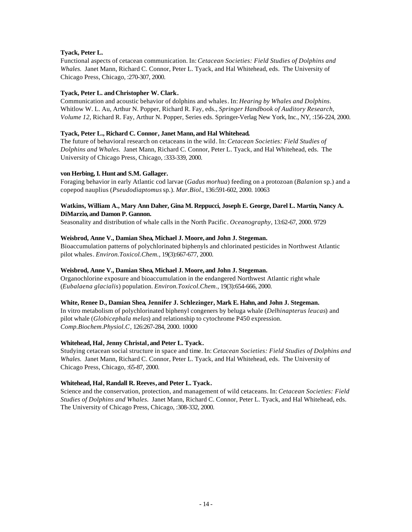# **Tyack, Peter L.**

Functional aspects of cetacean communication. In: *Cetacean Societies: Field Studies of Dolphins and Whales.* Janet Mann, Richard C. Connor, Peter L. Tyack, and Hal Whitehead, eds. The University of Chicago Press, Chicago, :270-307, 2000.

# **Tyack, Peter L. andChristopher W. Clark.**

Communication and acoustic behavior of dolphins and whales. In: *Hearing by Whales and Dolphins.*  Whitlow W. L. Au, Arthur N. Popper, Richard R. Fay, eds., *Springer Handbook of Auditory Research, Volume 12,* Richard R. Fay, Arthur N. Popper, Series eds. Springer-Verlag New York, Inc., NY, :156-224, 2000.

# **Tyack, Peter L., Richard C. Connor, Janet Mann, and Hal Whitehead.**

The future of behavioral research on cetaceans in the wild. In: *Cetacean Societies: Field Studies of Dolphins and Whales.* Janet Mann, Richard C. Connor, Peter L. Tyack, and Hal Whitehead, eds. The University of Chicago Press, Chicago, :333-339, 2000.

# **von Herbing, I. Hunt and S.M. Gallager.**

Foraging behavior in early Atlantic cod larvae (*Gadus morhua*) feeding on a protozoan (*Balanion* sp.) and a copepod nauplius (*Pseudodiaptomus* sp.). *Mar.Biol.*, 136:591-602, 2000. 10063

# **Watkins, William A., Mary Ann Daher, Gina M. Reppucci, Joseph E. George, Darel L. Martin, Nancy A. DiMarzio, and Damon P. Gannon.**

Seasonality and distribution of whale calls in the North Pacific. *Oceanography*, 13:62-67, 2000. 9729

# **Weisbrod, Anne V., Damian Shea, Michael J. Moore, and John J. Stegeman.**

Bioaccumulation patterns of polychlorinated biphenyls and chlorinated pesticides in Northwest Atlantic pilot whales. *Environ.Toxicol.Chem.*, 19(3):667-677, 2000.

# **Weisbrod, Anne V., Damian Shea, Michael J. Moore, and John J. Stegeman.**

Organochlorine exposure and bioaccumulation in the endangered Northwest Atlantic right whale (*Eubalaena glacialis*) population. *Environ.Toxicol.Chem.*, 19(3):654-666, 2000.

# **White, Renee D., Damian Shea, Jennifer J. Schlezinger, Mark E. Hahn, and John J. Stegeman.**

In vitro metabolism of polychlorinated biphenyl congeners by beluga whale (*Delhinapterus leucas*) and pilot whale (*Globicephala melas*) and relationship to cytochrome P450 expression. *Comp.Biochem.Physiol.C*, 126:267-284, 2000. 10000

# **Whitehead, Hal, Jenny Christal, and Peter L. Tyack.**

Studying cetacean social structure in space and time. In: *Cetacean Societies: Field Studies of Dolphins and Whales.* Janet Mann, Richard C. Connor, Peter L. Tyack, and Hal Whitehead, eds. The University of Chicago Press, Chicago, :65-87, 2000.

#### **Whitehead, Hal, Randall R. Reeves, and Peter L. Tyack.**

Science and the conservation, protection, and management of wild cetaceans. In: *Cetacean Societies: Field Studies of Dolphins and Whales.* Janet Mann, Richard C. Connor, Peter L. Tyack, and Hal Whitehead, eds. The University of Chicago Press, Chicago, :308-332, 2000.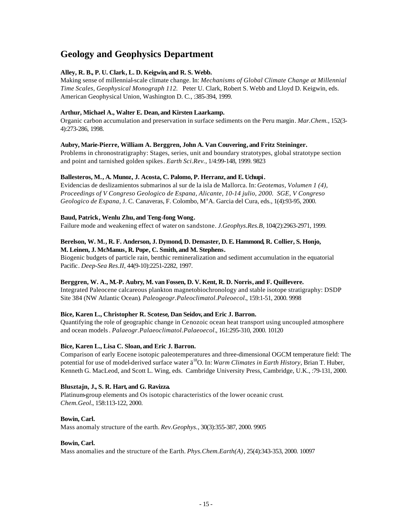# **Geology and Geophysics Department**

# **Alley, R. B., P. U. Clark, L. D. Keigwin, and R. S. Webb.**

Making sense of millennial-scale climate change. In: *Mechanisms of Global Climate Change at Millennial Time Scales, Geophysical Monograph 112.* Peter U. Clark, Robert S. Webb and Lloyd D. Keigwin, eds. American Geophysical Union, Washington D. C., :385-394, 1999.

# **Arthur, Michael A., Walter E. Dean, and Kirsten Laarkamp.**

Organic carbon accumulation and preservation in surface sediments on the Peru margin. *Mar.Chem.*, 152(3- 4):273-286, 1998.

# **Aubry, Marie-Pierre, William A. Berggren, John A. Van Couvering, and Fritz Steininger.**

Problems in chronostratigraphy: Stages, series, unit and boundary stratotypes, global stratotype section and point and tarnished golden spikes. *Earth Sci.Rev.*, 1/4:99-148, 1999. 9823

# **Ballesteros, M., A. Munoz, J. Acosta, C. Palomo, P. Herranz, and E. Uchupi.**

Evidencias de deslizamientos submarinos al sur de la isla de Mallorca. In: *Geotemas, Volumen 1 (4), Proceedings of V Congreso Geologico de Espana, Alicante, 10-14 julio, 2000. SGE, V Congreso Geologico de Espana, J.C. Canaveras, F. Colombo, M<sup>a</sup>A. Garcia del Cura, eds., 1(4):93-95, 2000.* 

# **Baud, Patrick, Wenlu Zhu, and Teng-fong Wong.**

Failure mode and weakening effect of water on sandstone. *J.Geophys.Res.B*, 104(2):2963-2971, 1999.

## **Berelson, W. M., R. F. Anderson, J. Dymond, D. Demaster, D. E. Hammond, R. Collier, S. Honjo, M. Leinen, J. McManus, R. Pope, C. Smith, and M. Stephens.**

Biogenic budgets of particle rain, benthic remineralization and sediment accumulation in the equatorial Pacific. *Deep-Sea Res.II*, 44(9-10):2251-2282, 1997.

# **Berggren, W. A., M.-P. Aubry, M. van Fossen, D. V. Kent, R. D. Norris, and F. Quillevere.**

Integrated Paleocene calcareous plankton magnetobiochronology and stable isotope stratigraphy: DSDP Site 384 (NW Atlantic Ocean). *Paleogeogr.Paleoclimatol.Paleoecol.*, 159:1-51, 2000. 9998

# **Bice, Karen L., Christopher R. Scotese, Dan Seidov, and Eric J. Barron.**

Quantifying the role of geographic change in Cenozoic ocean heat transport using uncoupled atmosphere and ocean models. *Palaeogr.Palaeoclimatol.Palaeoecol.*, 161:295-310, 2000. 10120

# **Bice, Karen L., Lisa C. Sloan, and Eric J. Barron.**

Comparison of early Eocene isotopic paleotemperatures and three-dimensional OGCM temperature field: The potential for use of model-derived surface water ä<sup>18</sup>O. In: *Warm Climates in Earth History,* Brian T. Huber, Kenneth G. MacLeod, and Scott L. Wing, eds. Cambridge University Press, Cambridge, U.K., :79-131, 2000.

# **Blusztajn, J., S. R. Hart, and G. Ravizza.**

Platinum-group elements and Os isotopic characteristics of the lower oceanic crust. *Chem.Geol.*, 158:113-122, 2000.

#### **Bowin, Carl.**

Mass anomaly structure of the earth. *Rev.Geophys.*, 30(3):355-387, 2000. 9905

# **Bowin, Carl.**

Mass anomalies and the structure of the Earth. *Phys.Chem.Earth(A)*, 25(4):343-353, 2000. 10097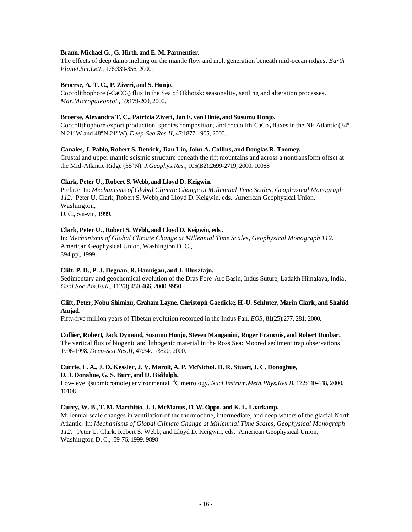## **Braun, Michael G., G. Hirth, and E. M. Parmentier.**

The effects of deep damp melting on the mantle flow and melt generation beneath mid-ocean ridges. *Earth Planet.Sci.Lett.*, 176:339-356, 2000.

# **Broerse, A. T. C., P. Ziveri, and S. Honjo.**

Coccolithophore ( $-CaCO<sub>3</sub>$ ) flux in the Sea of Okhotsk: seasonality, settling and alteration processes. *Mar.Micropaleontol.*, 39:179-200, 2000.

#### **Broerse, Alexandra T. C., Patrizia Ziveri, Jan E. van Hinte, and Susumu Honjo.**

Coccolithophore export production, species composition, and coccolith-CaCo<sub>3</sub> fluxes in the NE Atlantic (34 $\degree$ ) N 21ºW and 48ºN 21ºW). *Deep-Sea Res.II*, 47:1877-1905, 2000.

# **Canales, J. Pablo, Robert S. Detrick, Jian Lin, John A. Collins, and Douglas R. Toomey.**

Crustal and upper mantle seismic structure beneath the rift mountains and across a nontransform offset at the Mid-Atlantic Ridge (35ºN). *J.Geophys.Res.*, 105(B2):2699-2719, 2000. 10088

# **Clark, Peter U., Robert S. Webb, and Lloyd D. Keigwin.**

Preface. In: *Mechanisms of Global Climate Change at Millennial Time Scales, Geophysical Monograph 112.* Peter U. Clark, Robert S. Webb,and Lloyd D. Keigwin, eds. American Geophysical Union, Washington, D. C., :vii-viii, 1999.

# **Clark, Peter U., Robert S. Webb, and Lloyd D. Keigwin, eds.**

In: *Mechanisms of Global Climate Change at Millennial Time Scales, Geophysical Monograph 112*. American Geophysical Union, Washington D. C., 394 pp., 1999.

# **Clift, P. D., P. J. Degnan, R. Hannigan, and J. Blusztajn.**

Sedimentary and geochemical evolution of the Dras Fore-Arc Basin, Indus Suture, Ladakh Himalaya, India. *Geol.Soc.Am.Bull.*, 112(3):450-466, 2000. 9950

# **Clift, Peter, Nobu Shimizu, Graham Layne, Christoph Gaedicke, H.-U. Schluter, Marin Clark, and Shahid Amjad.**

Fifty-five million years of Tibetan evolution recorded in the Indus Fan. *EOS*, 81(25):277, 281, 2000.

#### **Collier, Robert, Jack Dymond, Susumu Honjo, Steven Manganini, Roger Francois, and Robert Dunbar.**

The vertical flux of biogenic and lithogenic material in the Ross Sea: Moored sediment trap observations 1996-1998. *Deep-Sea Res.II*, 47:3491-3520, 2000.

# **Currie, L. A., J. D. Kessler, J. V. Marolf, A. P. McNichol, D. R. Stuart, J. C. Donoghue, D. J. Donahue, G. S. Burr, and D. Biddulph.**

Low-level (submicromole) environmental <sup>14</sup>C metrology. *Nucl.Instrum.Meth.Phys.Res.B*, 172:440-448, 2000. 10108

#### **Curry, W. B., T. M. Marchitto, J. J. McManus, D. W. Oppo, and K. L. Laarkamp.**

Millennial-scale changes in ventilation of the thermocline, intermediate, and deep waters of the glacial North Atlantic. In: *Mechanisms of Global Climate Change at Millennial Time Scales, Geophysical Monograph 112.* Peter U. Clark, Robert S. Webb, and Lloyd D. Keigwin, eds. American Geophysical Union, Washington D. C*.*, :59-76, 1999. 9898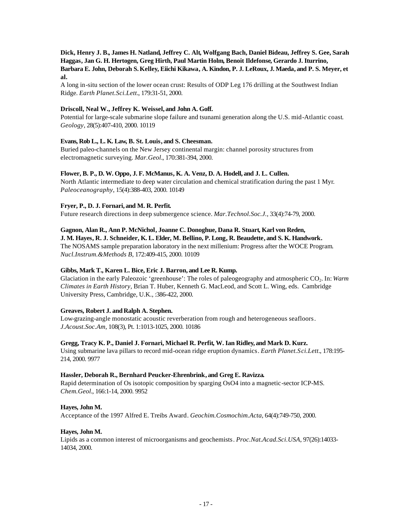# **Dick, Henry J. B., James H. Natland, Jeffrey C. Alt, Wolfgang Bach, Daniel Bideau, Jeffrey S. Gee, Sarah Haggas, Jan G. H. Hertogen, Greg Hirth, Paul Martin Holm, Benoit Ildefonse, Gerardo J. Iturrino, Barbara E. John, Deborah S. Kelley, Eiichi Kikawa, A. Kindon, P. J. LeRoux, J. Maeda, and P. S. Meyer, et al.**

A long in-situ section of the lower ocean crust: Results of ODP Leg 176 drilling at the Southwest Indian Ridge. *Earth Planet.Sci.Lett.*, 179:31-51, 2000.

# **Driscoll, Neal W., Jeffrey K. Weissel, and John A. Goff.**

Potential for large-scale submarine slope failure and tsunami generation along the U.S. mid-Atlantic coast. *Geology*, 28(5):407-410, 2000. 10119

# **Evans, Rob L., L. K. Law, B. St. Louis, and S. Cheesman.**

Buried paleo-channels on the New Jersey continental margin: channel porosity structures from electromagnetic surveying. *Mar.Geol.*, 170:381-394, 2000.

## **Flower, B. P., D. W. Oppo, J. F. McManus, K. A. Venz, D. A. Hodell, and J. L. Cullen.**

North Atlantic intermediate to deep water circulation and chemical stratification during the past 1 Myr. *Paleoceanography*, 15(4):388-403, 2000. 10149

# **Fryer, P., D. J. Fornari, and M. R. Perfit.**

Future research directions in deep submergence science. *Mar.Technol.Soc.J.*, 33(4):74-79, 2000.

#### **Gagnon, Alan R., Ann P. McNichol, Joanne C. Donoghue, Dana R. Stuart, Karl von Reden,**

# **J. M. Hayes, R. J. Schneider, K. L. Elder, M. Bellino, P. Long, R. Beaudette, and S. K. Handwork.**

The NOSAMS sample preparation laboratory in the next millenium: Progress after the WOCE Program. *Nucl.Instrum.&Methods B*, 172:409-415, 2000. 10109

#### **Gibbs, Mark T., Karen L. Bice, Eric J. Barron, and Lee R. Kump.**

Glaciation in the early Paleozoic 'greenhouse': The roles of paleogeography and atmospheric CO<sub>2</sub>. In: *Warm Climates in Earth History,* Brian T. Huber, Kenneth G. MacLeod, and Scott L. Wing, eds. Cambridge University Press, Cambridge, U.K., :386-422, 2000.

# **Greaves, Robert J. andRalph A. Stephen.**

Low-grazing-angle monostatic acoustic reverberation from rough and heterogeneous seafloors. *J.Acoust.Soc.Am*, 108(3), Pt. 1:1013-1025, 2000. 10186

# **Gregg, Tracy K. P., Daniel J. Fornari, Michael R. Perfit, W. Ian Ridley, and Mark D. Kurz.**

Using submarine lava pillars to record mid-ocean ridge eruption dynamics. *Earth Planet.Sci.Lett.*, 178:195- 214, 2000. 9977

#### **Hassler, Deborah R., Bernhard Peucker-Ehrenbrink, and Greg E. Ravizza.**

Rapid determination of Os isotopic composition by sparging OsO4 into a magnetic-sector ICP-MS. *Chem.Geol.*, 166:1-14, 2000. 9952

#### **Hayes, John M.**

Acceptance of the 1997 Alfred E. Treibs Award. *Geochim.Cosmochim.Acta*, 64(4):749-750, 2000.

# **Hayes, John M.**

Lipids as a common interest of microorganisms and geochemists. *Proc.Nat.Acad.Sci.USA*, 97(26):14033- 14034, 2000.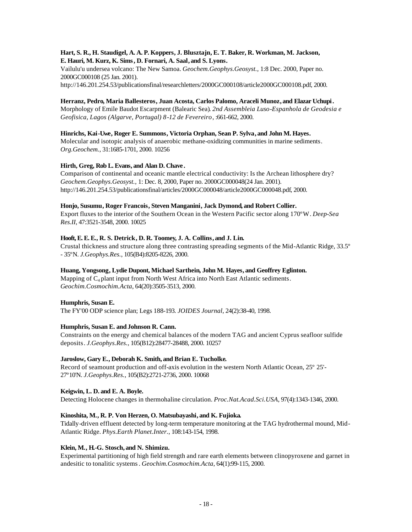# **Hart, S. R., H. Staudigel, A. A. P. Koppers, J. Blusztajn, E. T. Baker, R. Workman, M. Jackson, E. Hauri, M. Kurz, K. Sims, D. Fornari, A. Saal, and S. Lyons.**

Vailulu'u undersea volcano: The New Samoa. *Geochem.Geophys.Geosyst.,* 1:8 Dec. 2000, Paper no. 2000GC000108 (25 Jan. 2001).

http://146.201.254.53/publicationsfinal/researchletters/2000GC000108/article2000GC000108.pdf, 2000.

# **Herranz, Pedro, Maria Ballesteros, Juan Acosta, Carlos Palomo, Araceli Munoz, and Elazar Uchupi.**

Morphology of Emile Baudot Escarpment (Balearic Sea). *2nd Assembleia Luso-Espanhola de Geodesia e Geofisica, Lagos (Algarve, Portugal) 8-12 de Fevereiro*, :661-662, 2000.

# **Hinrichs, Kai-Uwe, Roger E. Summons, Victoria Orphan, Sean P. Sylva, and John M. Hayes.**

Molecular and isotopic analysis of anaerobic methane-oxidizing communities in marine sediments. *Org.Geochem.*, 31:1685-1701, 2000. 10256

# **Hirth, Greg, Rob L. Evans, and Alan D. Chave .**

Comparison of continental and oceanic mantle electrical conductivity: Is the Archean lithosphere dry? *Geochem.Geophys.Geosyst.,* 1: Dec. 8, 2000, Paper no. 2000GC000048(24 Jan. 2001). http://146.201.254.53/publicationsfinal/articles/2000GC000048/article2000GC000048.pdf, 2000.

# **Honjo, Susumu, Roger Francois, Steven Manganini, Jack Dymond, and Robert Collier.**

Export fluxes to the interior of the Southern Ocean in the Western Pacific sector along 170ºW. *Deep-Sea Res.II*, 47:3521-3548, 2000. 10025

# **Hooft, E. E. E., R. S. Detrick, D. R. Toomey, J. A. Collins, and J. Lin.**

Crustal thickness and structure along three contrasting spreading segments of the Mid-Atlantic Ridge, 33.5º - 35ºN. *J.Geophys.Res.*, 105(B4):8205-8226, 2000.

# **Huang, Yongsong, Lydie Dupont, Michael Sarthein, John M. Hayes, and Geoffrey Eglinton.**

Mapping of  $C_4$  plant input from North West Africa into North East Atlantic sediments. *Geochim.Cosmochim.Acta*, 64(20):3505-3513, 2000.

# **Humphris, Susan E.**

The FY'00 ODP science plan; Legs 188-193. *JOIDES Journal*, 24(2):38-40, 1998.

# **Humphris, Susan E. andJohnson R. Cann.**

Constraints on the energy and chemical balances of the modern TAG and ancient Cyprus seafloor sulfide deposits. *J.Geophys.Res.*, 105(B12):28477-28488, 2000. 10257

# **Jaroslow, Gary E., Deborah K. Smith, and Brian E. Tucholke.**

Record of seamount production and off-axis evolution in the western North Atlantic Ocean, 25º 25'- 27º10'N. *J.Geophys.Res.*, 105(B2):2721-2736, 2000. 10068

# **Keigwin, L. D. and E. A. Boyle.**

Detecting Holocene changes in thermohaline circulation. *Proc.Nat.Acad.Sci.USA*, 97(4):1343-1346, 2000.

# **Kinoshita, M., R. P. Von Herzen, O. Matsubayashi, and K. Fujioka.**

Tidally-driven effluent detected by long-term temperature monitoring at the TAG hydrothermal mound, Mid-Atlantic Ridge. *Phys.Earth Planet.Inter.*, 108:143-154, 1998.

# **Klein, M., H.-G. Stosch, and N. Shimizu.**

Experimental partitioning of high field strength and rare earth elements between clinopyroxene and garnet in andesitic to tonalitic systems. *Geochim.Cosmochim.Acta*, 64(1):99-115, 2000.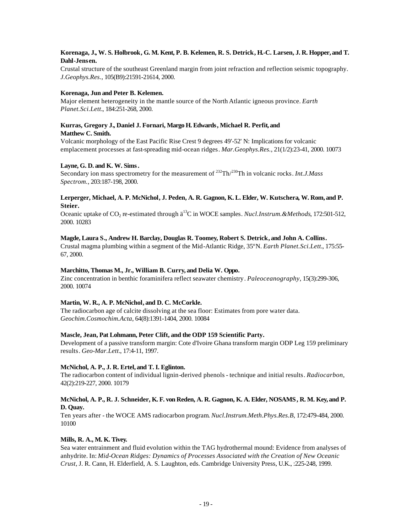# **Korenaga, J., W. S. Holbrook, G. M. Kent, P. B. Kelemen, R. S. Detrick, H.-C. Larsen, J. R. Hopper, and T. Dahl-Jensen.**

Crustal structure of the southeast Greenland margin from joint refraction and reflection seismic topography. *J.Geophys.Res.*, 105(B9):21591-21614, 2000.

# **Korenaga, Jun and Peter B. Kelemen.**

Major element heterogeneity in the mantle source of the North Atlantic igneous province. *Earth Planet.Sci.Lett.*, 184:251-268, 2000.

# **Kurras, Gregory J., Daniel J. Fornari, Margo H. Edwards, Michael R. Perfit, and Matthew C. Smith.**

Volcanic morphology of the East Pacific Rise Crest 9 degrees 49'-52' N: Implications for volcanic emplacement processes at fast-spreading mid-ocean ridges. *Mar.Geophys.Res.*, 21(1/2):23-41, 2000. 10073

# **Layne, G. D. and K. W. Sims.**

Secondary ion mass spectrometry for the measurement of <sup>232</sup>Th/<sup>230</sup>Th in volcanic rocks. *Int.J.Mass Spectrom.*, 203:187-198, 2000.

# **Lerperger, Michael, A. P. McNichol, J. Peden, A. R. Gagnon, K. L. Elder, W. Kutschera, W. Rom, and P. Steier.**

Oceanic uptake of CO<sub>2</sub> re-estimated through  $\ddot{a}^{13}$ C in WOCE samples. *Nucl.Instrum. & Methods*, 172:501-512, 2000. 10283

# **Magde, Laura S., Andrew H. Barclay, Douglas R. Toomey, Robert S. Detrick, and John A. Collins.**

Crustal magma plumbing within a segment of the Mid-Atlantic Ridge, 35ºN. *Earth Planet.Sci.Lett.*, 175:55- 67, 2000.

# **Marchitto, Thomas M., Jr., William B. Curry, and Delia W. Oppo.**

Zinc concentration in benthic foraminifera reflect seawater chemistry. *Paleoceanography*, 15(3):299-306, 2000. 10074

# **Martin, W. R., A. P. McNichol, and D. C. McCorkle.**

The radiocarbon age of calcite dissolving at the sea floor: Estimates from pore water data. *Geochim.Cosmochim.Acta*, 64(8):1391-1404, 2000. 10084

# **Mascle, Jean, Pat Lohmann, Peter Clift, and the ODP 159 Scientific Party.**

Development of a passive transform margin: Cote d'Ivoire Ghana transform margin ODP Leg 159 preliminary results. *Geo-Mar.Lett.*, 17:4-11, 1997.

# **McNichol, A. P., J. R. Ertel, and T. I. Eglinton.**

The radiocarbon content of individual lignin-derived phenols - technique and initial results. *Radiocarbon*, 42(2):219-227, 2000. 10179

# **McNichol, A. P., R. J. Schneider, K. F. von Reden, A. R. Gagnon, K. A. Elder, NOSAMS, R. M. Key, and P. D. Quay.**

Ten years after - the WOCE AMS radiocarbon program. *Nucl.Instrum.Meth.Phys.Res.B*, 172:479-484, 2000. 10100

# **Mills, R. A., M. K. Tivey.**

Sea water entrainment and fluid evolution within the TAG hydrothermal mound: Evidence from analyses of anhydrite. In: *Mid-Ocean Ridges: Dynamics of Processes Associated with the Creation of New Oceanic Crust*, J. R. Cann, H. Elderfield, A. S. Laughton, eds. Cambridge University Press, U.K., :225-248, 1999.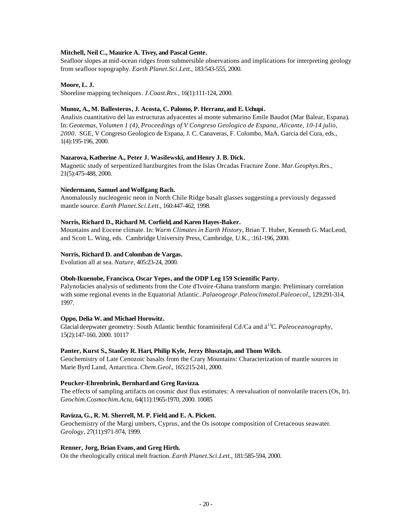# **Mitchell, Neil C., Maurice A. Tivey, and Pascal Gente.**

Seafloor slopes at mid-ocean ridges from submersible observations and implications for interpreting geology from seafloor topography. *Earth Planet.Sci.Lett.*, 183:543-555, 2000.

# **Moore, L. J.**

Shoreline mapping techniques. *J.Coast.Res.*, 16(1):111-124, 2000.

# **Munoz, A., M. Ballesteros, J. Acosta, C. Palomo, P. Herranz, and E. Uchupi.**

Analisis cuantitativo del las estructuras adyacentes al monte submarino Emile Baudot (Mar Balear, Espana). In: *Geotemas, Volumen 1 (4), Proceedings of V Congreso Geologico de Espana, Alicante, 10-14 julio, 2000*. SGE, V Congreso Geologico de Espana, J. C. Canaveras, F. Colombo, MaA. Garcia del Cura, eds*.*, 1(4):195-196, 2000.

# **Nazarova, Katherine A., Peter J. Wasilewski, and Henry J. B. Dick.**

Magnetic study of serpentized harzburgites from the Islas Orcadas Fracture Zone. *Mar.Geophys.Res.*, 21(5):475-488, 2000.

# **Niedermann, Samuel andWolfgang Bach.**

Anomalously nucleogenic neon in North Chile Ridge basalt glasses suggesting a previously degassed mantle source. *Earth Planet.Sci.Lett.*, 160:447-462, 1998.

# **Norris, Richard D., Richard M. Corfield, and Karen Hayes-Baker.**

Mountains and Eocene climate. In: *Warm Climates in Earth History*, Brian T. Huber, Kenneth G. MacLeod, and Scott L. Wing, eds. Cambridge University Press, Cambridge, U.K., :161-196, 2000.

# Norris, Richard D. and Colomban de Vargas.

Evolution all at sea. *Nature*, 405:23-24, 2000.

# **Oboh-Ikuenobe, Francisca, Oscar Yepes, and the ODP Leg 159 Scientific Party.**

Palynofacies analysis of sediments from the Cote d'Ivoire-Ghana transform margin: Preliminary correlation with some regional events in the Equatorial Atlantic. *Palaeogeogr.Paleoclimatol.Paleoecol.*, 129:291-314, 1997.

#### **Oppo, Delia W. and Michael Horowitz.**

Glacial deepwater geometry: South Atlantic benthic foraminiferal Cd/Ca and  $\ddot{a}^{13}C$ . *Paleoceanography*, 15(2):147-160, 2000. 10117

# **Panter, Kurst S., Stanley R. Hart, Philip Kyle, Jerzy Blusztajn, and Thom Wilch.**

Geochemistry of Late Cenozoic basalts from the Crary Mountains: Characterization of mantle sources in Marie Byrd Land, Antarctica. *Chem.Geol.*, 165:215-241, 2000.

#### **Peucker-Ehrenbrink, Bernhard and Greg Ravizza.**

The effects of sampling artifacts on cosmic dust flux estimates: A reevaluation of nonvolatile tracers (Os, Ir). *Geochim.Cosmochim.Acta*, 64(11):1965-1970, 2000. 10085

# **Ravizza, G., R. M. Sherrell, M. P. Field, and E. A. Pickett.**

Geochemistry of the Margi umbers, Cyprus, and the Os isotope composition of Cretaceous seawater. *Geology*, 27(11):971-974, 1999.

#### **Renner, Jorg, Brian Evans, and Greg Hirth.**

On the rheologically critical melt fraction. *Earth Planet.Sci.Lett.*, 181:585-594, 2000.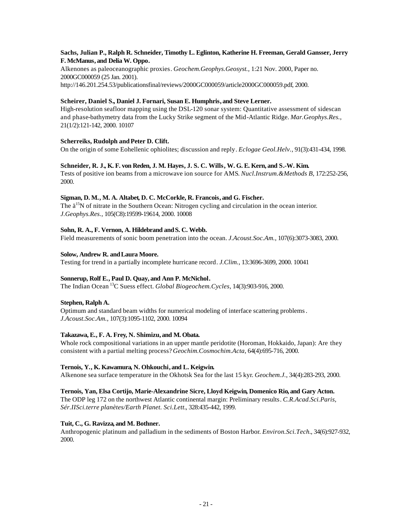# **Sachs, Julian P., Ralph R. Schneider, Timothy L. Eglinton, Katherine H. Freeman, Gerald Gansser, Jerry F. McManus, and Delia W. Oppo.**

Alkenones as paleoceanographic proxies. *Geochem.Geophys.Geosyst.,* 1:21 Nov. 2000, Paper no. 2000GC000059 (25 Jan. 2001). http://146.201.254.53/publicationsfinal/reviews/2000GC000059/article2000GC000059.pdf, 2000.

# **Scheirer, Daniel S., Daniel J. Fornari, Susan E. Humphris, and Steve Lerner.**

High-resolution seafloor mapping using the DSL-120 sonar system: Quantitative assessment of sidescan and phase-bathymetry data from the Lucky Strike segment of the Mid-Atlantic Ridge. *Mar.Geophys.Res.*, 21(1/2):121-142, 2000. 10107

# **Scherreiks, Rudolph and Peter D. Clift.**

On the origin of some Eohellenic ophiolites; discussion and reply. *Eclogae Geol.Helv.*, 91(3):431-434, 1998.

# **Schneider, R. J., K. F. von Reden, J. M. Hayes, J. S. C. Wills, W. G. E. Kern, and S.-W. Kim.**

Tests of positive ion beams from a microwave ion source for AMS. *Nucl.Instrum.&Methods B*, 172:252-256, 2000.

# **Sigman, D. M., M. A. Altabet, D. C. McCorkle, R. Francois, and G. Fischer.**

The  $\ddot{a}^{15}$ N of nitrate in the Southern Ocean: Nitrogen cycling and circulation in the ocean interior. *J.Geophys.Res.*, 105(C8):19599-19614, 2000. 10008

# Sohn, R. A., F. Vernon, A. Hildebrand and S. C. Webb.

Field measurements of sonic boom penetration into the ocean. *J.Acoust.Soc.Am.*, 107(6):3073-3083, 2000.

# **Solow, Andrew R. andLaura Moore.**

Testing for trend in a partially incomplete hurricane record. *J.Clim.*, 13:3696-3699, 2000. 10041

# **Sonnerup, Rolf E., Paul D. Quay, and Ann P. McNichol.**

The Indian Ocean <sup>13</sup>C Suess effect. *Global Biogeochem.Cycles*, 14(3):903-916, 2000.

# **Stephen, Ralph A.**

Optimum and standard beam widths for numerical modeling of interface scattering problems. *J.Acoust.Soc.Am.*, 107(3):1095-1102, 2000. 10094

# **Takazawa, E., F. A. Frey, N. Shimizu, and M. Obata.**

Whole rock compositional variations in an upper mantle peridotite (Horoman, Hokkaido, Japan): Are they consistent with a partial melting process? *Geochim.Cosmochim.Acta*, 64(4):695-716, 2000.

# **Ternois, Y., K. Kawamura, N. Ohkouchi, and L. Keigwin.**

Alkenone sea surface temperature in the Okhotsk Sea for the last 15 kyr. *Geochem.J.*, 34(4):283-293, 2000.

# **Ternois, Yan, Elsa Cortijo, Marie-Alexandrine Sicre, Lloyd Keigwin, Domenico Rio, and Gary Acton.**

The ODP leg 172 on the northwest Atlantic continental margin: Preliminary results. *C.R.Acad.Sci.Paris, Sér.IISci.terre planètes/Earth Planet. Sci.Lett.*, 328:435-442, 1999.

# **Tuit, C., G. Ravizza, and M. Bothner.**

Anthropogenic platinum and palladium in the sediments of Boston Harbor. *Environ.Sci.Tech.*, 34(6):927-932, 2000.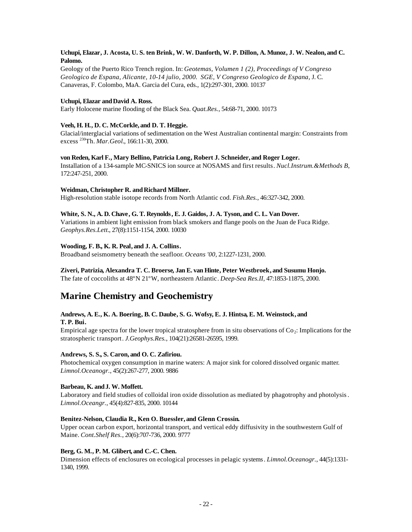# **Uchupi, Elazar, J. Acosta, U. S. ten Brink, W. W. Danforth, W. P. Dillon, A. Munoz, J. W. Nealon, and C. Palomo.**

Geology of the Puerto Rico Trench region. In: *Geotemas, Volumen 1 (2), Proceedings of V Congreso Geologico de Espana, Alicante, 10-14 julio, 2000. SGE, V Congreso Geologico de Espana,* J. C. Canaveras, F. Colombo, MaA. Garcia del Cura, eds*.*, 1(2):297-301, 2000. 10137

# **Uchupi, Elazar andDavid A. Ross.**

Early Holocene marine flooding of the Black Sea. *Quat.Res.*, 54:68-71, 2000. 10173

# **Veeh, H. H., D. C. McCorkle, and D. T. Heggie.**

Glacial/interglacial variations of sedimentation on the West Australian continental margin: Constraints from excess <sup>230</sup>Th. *Mar.Geol.*, 166:11-30, 2000.

# **von Reden, Karl F., Mary Bellino, Patricia Long, Robert J. Schneider, and Roger Loger.**

Installation of a 134-sample MC-SNICS ion source at NOSAMS and first results. *Nucl.Instrum.&Methods B*, 172:247-251, 2000.

# Weidman, Christopher R. and Richard Millner.

High-resolution stable isotope records from North Atlantic cod. *Fish.Res.*, 46:327-342, 2000.

# **White, S. N., A. D. Chave, G. T. Reynolds, E. J. Gaidos, J. A. Tyson, and C. L. Van Dover.**

Variations in ambient light emission from black smokers and flange pools on the Juan de Fuca Ridge. *Geophys.Res.Lett.*, 27(8):1151-1154, 2000. 10030

# **Wooding, F. B., K. R. Peal, and J. A. Collins.**

Broadband seismometry beneath the seafloor. *Oceans '00*, 2:1227-1231, 2000.

# **Ziveri, Patrizia, Alexandra T. C. Broerse, Jan E. van Hinte, Peter Westbroek, and Susumu Honjo.**

The fate of coccoliths at 48ºN 21ºW, northeastern Atlantic. *Deep-Sea Res.II*, 47:1853-11875, 2000.

# **Marine Chemistry and Geochemistry**

# **Andrews, A. E., K. A. Boering, B. C. Daube, S. G. Wofsy, E. J. Hintsa, E. M. Weinstock, and T. P. Bui.**

Empirical age spectra for the lower tropical stratosphere from in situ observations of  $Co<sub>2</sub>$ : Implications for the stratospheric transport. *J.Geophys.Res.*, 104(21):26581-26595, 1999.

#### **Andrews, S. S., S. Caron, and O. C. Zafiriou.**

Photochemical oxygen consumption in marine waters: A major sink for colored dissolved organic matter. *Limnol.Oceanogr.*, 45(2):267-277, 2000. 9886

#### **Barbeau, K. andJ. W. Moffett.**

Laboratory and field studies of colloidal iron oxide dissolution as mediated by phagotrophy and photolysis. *Limnol.Oceangr.*, 45(4):827-835, 2000. 10144

#### **Benitez-Nelson, Claudia R., Ken O. Buessler, and Glenn Crossin.**

Upper ocean carbon export, horizontal transport, and vertical eddy diffusivity in the southwestern Gulf of Maine. *Cont.Shelf Res.*, 20(6):707-736, 2000. 9777

# **Berg, G. M., P. M. Glibert, and C.-C. Chen.**

Dimension effects of enclosures on ecological processes in pelagic systems. *Limnol.Oceanogr.*, 44(5):1331- 1340, 1999.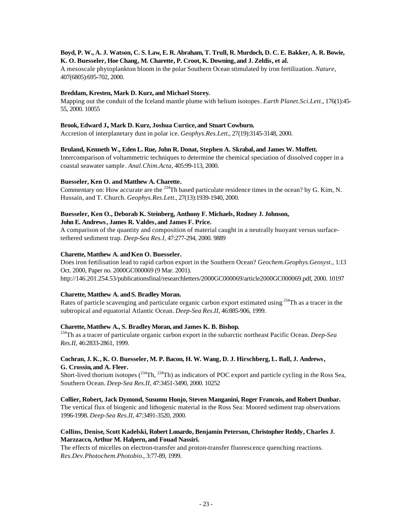# **Boyd, P. W., A. J. Watson, C. S. Law, E. R. Abraham, T. Trull, R. Murdoch, D. C. E. Bakker, A. R. Bowie, K. O. Buesseler, Hoe Chang, M. Charette, P. Croot, K. Downing, and J. Zeldis, et al.**

A mesoscale phytoplankton bloom in the polar Southern Ocean stimulated by iron fertilization. *Nature*, 407(6805):695-702, 2000.

# **Breddam, Kresten, Mark D. Kurz, and Michael Storey.**

Mapping out the conduit of the Iceland mantle plume with helium isotopes. *Earth Planet.Sci.Lett.*, 176(1):45- 55, 2000. 10055

# **Brook, Edward J., Mark D. Kurz, Joshua Curtice, and Stuart Cowburn.**

Accretion of interplanetary dust in polar ice. *Geophys.Res.Lett.*, 27(19):3145-3148, 2000.

# **Bruland, Kenneth W., Eden L. Rue, John R. Donat, Stephen A. Skrabal, and James W. Moffett.**

Intercomparison of voltammetric techniques to determine the chemical speciation of dissolved copper in a coastal seawater sample. *Anal.Chim.Acta*, 405:99-113, 2000.

# **Buesseler, Ken O. andMatthew A. Charette.**

Commentary on: How accurate are the <sup>234</sup>Th based particulate residence times in the ocean? by G. Kim, N. Hussain, and T. Church. *Geophys.Res.Lett.*, 27(13):1939-1940, 2000.

# **Buesseler, Ken O., Deborah K. Steinberg, Anthony F. Michaels, Rodney J. Johnson,**

**John E. Andrews, James R. Valdes, and James F. Price.**

A comparison of the quantity and composition of material caught in a neutrally buoyant versus surfacetethered sediment trap. *Deep-Sea Res.I*, 47:277-294, 2000. 9889

# Charette, Matthew A. and Ken O. Buesseler.

Does iron fertilisation lead to rapid carbon export in the Southern Ocean? *Geochem.Geophys.Geosyst.,* 1:13 Oct. 2000, Paper no. 2000GC000069 (9 Mar. 2001). http://146.201.254.53/publicationsfinal/researchletters/2000GC000069/article2000GC000069.pdf, 2000. 10197

# **Charette, Matthew A. andS. Bradley Moran.**

Rates of particle scavenging and particulate organic carbon export estimated using <sup>234</sup>Th as a tracer in the subtropical and equatorial Atlantic Ocean. *Deep-Sea Res.II*, 46:885-906, 1999.

# **Charette, Matthew A., S. Bradley Moran, and James K. B. Bishop.**

<sup>234</sup>Th as a tracer of particulate organic carbon export in the subarctic northeast Pacific Ocean. *Deep-Sea Res.II*, 46:2833-2861, 1999.

# **Cochran, J. K., K. O. Buesseler, M. P. Bacon, H. W. Wang, D. J. Hirschberg, L. Ball, J. Andrews, G. Crossin, and A. Fleer.**

Short-lived thorium isotopes  $(^{234}Th, ^{228}Th)$  as indicators of POC export and particle cycling in the Ross Sea, Southern Ocean. *Deep-Sea Res.II*, 47:3451-3490, 2000. 10252

## **Collier, Robert, Jack Dymond, Susumu Honjo, Steven Manganini, Roger Francois, and Robert Dunbar.**

The vertical flux of biogenic and lithogenic material in the Ross Sea: Moored sediment trap observations 1996-1998. *Deep-Sea Res.II*, 47:3491-3520, 2000.

# **Collins, Denise, Scott Kadelski, Robert Lonardo, Benjamin Peterson, Christopher Reddy, Charles J. Marzzacco, Arthur M. Halpern, and Fouad Nassiri.**

The effects of micelles on electron-transfer and proton-transfer fluorescence quenching reactions. *Res.Dev.Photochem.Photobio.*, 3:77-89, 1999.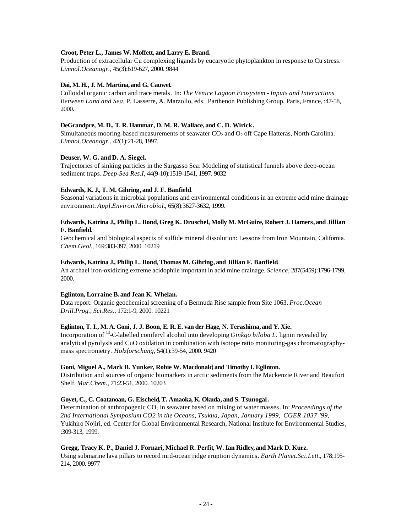# **Croot, Peter L., James W. Moffett, and Larry E. Brand.**

Production of extracellular Cu complexing ligands by eucaryotic phytoplankton in response to Cu stress. *Limnol.Oceanogr.*, 45(3):619-627, 2000. 9844

# **Dai, M. H., J. M. Martina, and G. Cauwet.**

Colloidal organic carbon and trace metals. In: *The Venice Lagoon Ecosystem - Inputs and Interactions Between Land and Sea*, P. Lasserre, A. Marzollo, eds. Parthenon Publishing Group, Paris, France, :47-58, 2000.

# **DeGrandpre, M. D., T. R. Hammar, D. M. R. Wallace, and C. D. Wirick.**

Simultaneous mooring-based measurements of seawater  $CO<sub>2</sub>$  and  $O<sub>2</sub>$  off Cape Hatteras, North Carolina. *Limnol.Oceanogr.*, 42(1):21-28, 1997.

# **Deuser, W. G. andD. A. Siegel.**

Trajectories of sinking particles in the Sargasso Sea: Modeling of statistical funnels above deep-ocean sediment traps. *Deep-Sea Res.I*, 44(9-10):1519-1541, 1997. 9032

# **Edwards, K. J., T. M. Gihring, and J. F. Banfield.**

Seasonal variations in microbial populations and environmental conditions in an extreme acid mine drainage environment. *Appl.Environ.Microbiol.*, 65(8):3627-3632, 1999.

# **Edwards, Katrina J., Philip L. Bond, Greg K. Druschel, Molly M. McGuire, Robert J. Hamers, and Jillian F. Banfield.**

Geochemical and biological aspects of sulfide mineral dissolution: Lessons from Iron Mountain, California. *Chem.Geol.*, 169:383-397, 2000. 10219

# **Edwards, Katrina J., Philip L. Bond, Thomas M. Gihring, and Jillian F. Banfield.**

An archael iron-oxidizing extreme acidophile important in acid mine drainage. *Science*, 287(5459):1796-1799, 2000.

#### **Eglinton, Lorraine B. and Jean K. Whelan.**

Data report: Organic geochemical screening of a Bermuda Rise sample from Site 1063. *Proc.Ocean Drill.Prog., Sci.Res.*, 172:1-9, 2000. 10221

# **Eglinton, T. I., M. A. Goni, J. J. Boon, E. R. E. van der Hage, N. Terashima, and Y. Xie.**

Incorporation of <sup>13</sup> -C-labelled coniferyl alcohol into developing *Ginkgo biloba L*. lignin revealed by analytical pyrolysis and CuO oxidation in combination with isotope ratio monitoring-gas chromatographymass spectrometry. *Holzforschung*, 54(1):39-54, 2000. 9420

#### **Goni, Miguel A., Mark B. Yunker, Robie W. Macdonald, and Timothy I. Eglinton.**

Distribution and sources of organic biomarkers in arctic sediments from the Mackenzie River and Beaufort Shelf. *Mar.Chem.*, 71:23-51, 2000. 10203

## **Goyet, C., C. Coatanoan, G. Eischeid, T. Amaoka, K. Okuda, and S. Tsunogai.**

Determination of anthropogenic CO<sub>2</sub> in seawater based on mixing of water masses. In: *Proceedings of the 2nd International Symposium CO2 in the Oceans, Tsukua, Japan, January 1999, CGER-1037-'99,*  Yukihiro Nojiri, ed. Center for Global Environmental Research, National Institute for Environmental Studies, :309-313, 1999.

#### **Gregg, Tracy K. P., Daniel J. Fornari, Michael R. Perfit, W. Ian Ridley, and Mark D. Kurz.**

Using submarine lava pillars to record mid-ocean ridge eruption dynamics. *Earth Planet.Sci.Lett.*, 178:195- 214, 2000. 9977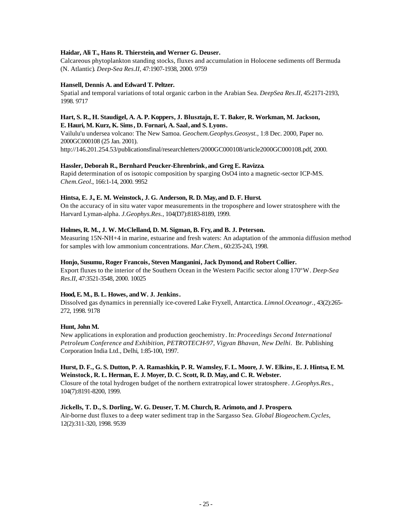# **Haidar, Ali T., Hans R. Thierstein, and Werner G. Deuser.**

Calcareous phytoplankton standing stocks, fluxes and accumulation in Holocene sediments off Bermuda (N. Atlantic). *Deep-Sea Res.II*, 47:1907-1938, 2000. 9759

# **Hansell, Dennis A. and Edward T. Peltzer.**

Spatial and temporal variations of total organic carbon in the Arabian Sea. *DeepSea Res.II*, 45:2171-2193, 1998. 9717

# **Hart, S. R., H. Staudigel, A. A. P. Koppers, J. Blusztajn, E. T. Baker, R. Workman, M. Jackson, E. Hauri, M. Kurz, K. Sims, D. Fornari, A. Saal, and S. Lyons.**

Vailulu'u undersea volcano: The New Samoa. *Geochem.Geophys.Geosyst.,* 1:8 Dec. 2000, Paper no. 2000GC000108 (25 Jan. 2001).

# http://146.201.254.53/publicationsfinal/researchletters/2000GC000108/article2000GC000108.pdf, 2000.

# **Hassler, Deborah R., Bernhard Peucker-Ehrenbrink, and Greg E. Ravizza.**

Rapid determination of os isotopic composition by sparging OsO4 into a magnetic-sector ICP-MS. *Chem.Geol.*, 166:1-14, 2000. 9952

# **Hintsa, E. J., E. M. Weinstock, J. G. Anderson, R. D. May, and D. F. Hurst.**

On the accuracy of in situ water vapor measurements in the troposphere and lower stratosphere with the Harvard Lyman-alpha. *J.Geophys.Res.*, 104(D7):8183-8189, 1999.

# **Holmes, R. M., J. W. McClelland, D. M. Sigman, B. Fry, and B. J. Peterson.**

Measuring 15N-NH+4 in marine, estuarine and fresh waters: An adaptation of the ammonia diffusion method for samples with low ammonium concentrations. *Mar.Chem.*, 60:235-243, 1998.

#### **Honjo, Susumu, Roger Francois, Steven Manganini, Jack Dymond, and Robert Collier.**

Export fluxes to the interior of the Southern Ocean in the Western Pacific sector along 170ºW. *Deep-Sea Res.II*, 47:3521-3548, 2000. 10025

#### **Hood, E. M., B. L. Howes, and W. J. Jenkins.**

Dissolved gas dynamics in perennially ice-covered Lake Fryxell, Antarctica. *Limnol.Oceanogr.*, 43(2):265- 272, 1998. 9178

#### **Hunt, John M.**

New applications in exploration and production geochemistry. In: *Proceedings Second International Petroleum Conference and Exhibition, PETROTECH-97, Vigyan Bhavan, New Delhi*. Br. Publishing Corporation India Ltd., Delhi, 1:85-100, 1997.

# **Hurst, D. F., G. S. Dutton, P. A. Ramashkin, P. R. Wamsley, F. L. Moore, J. W. Elkins, E. J. Hintsa, E. M. Weinstock, R. L. Herman, E. J. Moyer, D. C. Scott, R. D. May, and C. R. Webster.**

Closure of the total hydrogen budget of the northern extratropical lower stratosphere. *J.Geophys.Res.*, 104(7):8191-8200, 1999.

#### **Jickells, T. D., S. Dorling, W. G. Deuser, T. M. Church, R. Arimoto, and J. Prospero.**

Air-borne dust fluxes to a deep water sediment trap in the Sargasso Sea. *Global Biogeochem.Cycles*, 12(2):311-320, 1998. 9539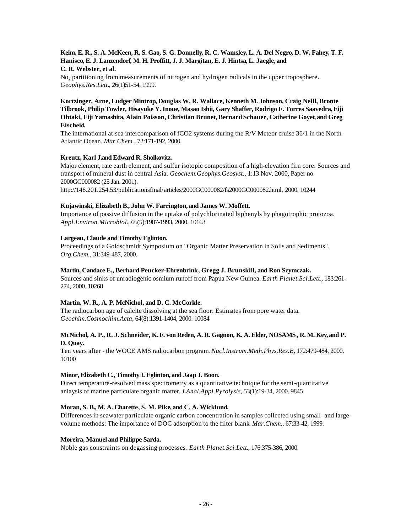# **Keim, E. R., S. A. McKeen, R. S. Gao, S. G. Donnelly, R. C. Wamsley, L. A. Del Negro, D. W. Fahey, T. F. Hanisco, E. J. Lanzendorf, M. H. Proffitt, J. J. Margitan, E. J. Hintsa, L. Jaegle, and C. R. Webster, et al.**

 $No<sub>v</sub>$  partitioning from measurements of nitrogen and hydrogen radicals in the upper troposphere. *Geophys.Res.Lett.*, 26(1)51-54, 1999.

# **Kortzinger, Arne, Ludger Mintrop, Douglas W. R. Wallace, Kenneth M. Johnson, Craig Neill, Bronte Tilbrook, Philip Towler, Hisayuke Y. Inoue, Masao Ishii, Gary Shaffer, Rodrigo F. Torres Saavedra, Eiji Ohtaki, Eiji Yamashita, Alain Poisson, Christian Brunet, Bernard Schauer, Catherine Goyet, and Greg Eischeid.**

The international at-sea intercomparison of fCO2 systems during the R/V Meteor cruise 36/1 in the North Atlantic Ocean. *Mar.Chem.*, 72:171-192, 2000.

# **Kreutz, Karl J.and Edward R. Sholkovitz.**

Major element, rare earth element, and sulfur isotopic composition of a high-elevation firn core: Sources and transport of mineral dust in central Asia. *Geochem.Geophys.Geosyst.,* 1:13 Nov. 2000, Paper no. 2000GC000082 (25 Jan. 2001).

http://146.201.254.53/publicationsfinal/articles/2000GC000082/fs2000GC000082.html, 2000. 10244

# **Kujawinski, Elizabeth B., John W. Farrington, and James W. Moffett.**

Importance of passive diffusion in the uptake of polychlorinated biphenyls by phagotrophic protozoa. *Appl.Environ.Microbiol.*, 66(5):1987-1993, 2000. 10163

# Largeau, Claude and Timothy Eglinton.

Proceedings of a Goldschmidt Symposium on "Organic Matter Preservation in Soils and Sediments". *Org.Chem.*, 31:349-487, 2000.

#### **Martin, Candace E., Berhard Peucker-Ehrenbrink, Gregg J. Brunskill, and Ron Szymczak.**

Sources and sinks of unradiogenic osmium runoff from Papua New Guinea. *Earth Planet.Sci.Lett.*, 183:261- 274, 2000. 10268

# **Martin, W. R., A. P. McNichol, and D. C. McCorkle.**

The radiocarbon age of calcite dissolving at the sea floor: Estimates from pore water data. *Geochim.Cosmochim.Acta*, 64(8):1391-1404, 2000. 10084

# **McNichol, A. P., R. J. Schneider, K. F. von Reden, A. R. Gagnon, K. A. Elder, NOSAMS, R. M. Key, and P. D. Quay.**

Ten years after - the WOCE AMS radiocarbon program. *Nucl.Instrum.Meth.Phys.Res.B*, 172:479-484, 2000. 10100

# **Minor, Elizabeth C., Timothy I. Eglinton, and Jaap J. Boon.**

Direct temperature-resolved mass spectrometry as a quantitative technique for the semi-quantitative anlaysis of marine particulate organic matter. *J.Anal.Appl.Pyrolysis*, 53(1):19-34, 2000. 9845

#### **Moran, S. B., M. A. Charette, S. M. Pike, and C. A. Wicklund.**

Differences in seawater particulate organic carbon concentration in samples collected using small- and largevolume methods: The importance of DOC adsorption to the filter blank. *Mar.Chem.*, 67:33-42, 1999.

#### **Moreira, Manuel and Philippe Sarda.**

Noble gas constraints on degassing processes. *Earth Planet.Sci.Lett.*, 176:375-386, 2000.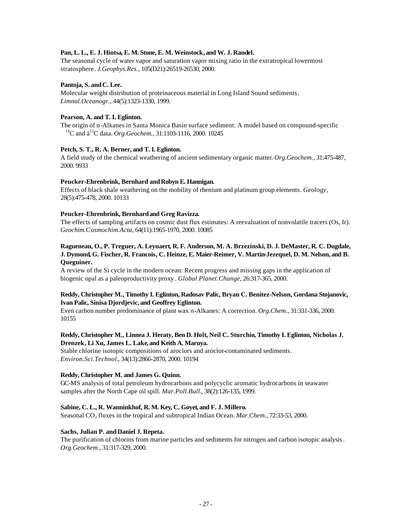# **Pan, L. L., E. J. Hintsa, E. M. Stone, E. M. Weinstock, and W. J. Randel.**

The seasonal cycle of water vapor and saturation vapor mixing ratio in the extratropical lowermost stratosphere. *J.Geophys.Res.*, 105(D21):26519-26530, 2000.

# Pantoja, S. and C. Lee.

Molecular weight distribution of proteinaceous material in Long Island Sound sediments. *Limnol.Oceanogr.*, 44(5):1323-1330, 1999.

# **Pearson, A. and T. I. Eglinton.**

The origin of n-Alkanes in Santa Monica Basin surface sediment: A model based on compound-specific <sup>14</sup>C and ä<sup>13</sup>C data. *Org.Geochem.*, 31:1103-1116, 2000. 10245

# **Petch, S. T., R. A. Berner, and T. I. Eglinton.**

A field study of the chemical weathering of ancient sedimentary organic matter. *Org.Geochem.*, 31:475-487, 2000. 9933

# Peucker-Ehrenbrink, Bernhard and Robyn E. Hannigan.

Effects of black shale weathering on the mobility of rhenium and platinum group elements. *Geology*, 28(5):475-478, 2000. 10133

# **Peucker-Ehrenbrink, Bernhard and Greg Ravizza.**

The effects of sampling artifacts on cosmic dust flux estimates: A reevaluation of nonvolatile tracers (Os, Ir). *Geochim.Cosmochim.Acta*, 64(11):1965-1970, 2000. 10085

# **Ragueneau, O., P. Treguer, A. Leynaert, R. F. Anderson, M. A. Brzezinski, D. J. DeMaster, R. C. Dugdale, J. Dymond, G. Fischer, R. Francois, C. Heinze, E. Maier-Reimer, V. Martin-Jezequel, D. M. Nelson, and B. Queguiner.**

A review of the Si cycle in the modern ocean: Recent progress and missing gaps in the application of biogenic opal as a paleoproductivity proxy . *Global Planet.Change*, 26:317-365, 2000.

# **Reddy, Christopher M., Timothy I. Eglinton, Radosav Palic, Bryan C. Benitez-Nelson, Gordana Stojanovic, Ivan Palic, Sinisa Djordjevic, and Geoffrey Eglinton.**

Even carbon number predominance of plant wax *n*-Alkanes: A correction. *Org.Chem.*, 31:331-336, 2000. 10155

# **Reddy, Christopher M., Linnea J. Heraty, Ben D. Holt, Neil C. Sturchio, Timothy I. Eglinton, Nicholas J. Drenzek, Li Xu, James L. Lake, and Keith A. Maruya.**

Stable chlorine isotopic compositions of aroclors and aroclor-contaminated sediments. *Environ.Sci.Technol.*, 34(13):2866-2870, 2000. 10194

# **Reddy, Christopher M. and James G. Quinn.**

GC-MS analysis of total petroleum hydrocarbons and polycyclic aromatic hydrocarbons in seawater samples after the North Cape oil spill. *Mar.Poll.Bull.*, 38(2):126-135, 1999.

#### **Sabine, C. L., R. Wanninkhof, R. M. Key, C. Goyet, and F. J. Millero.**

Seasonal CO<sub>2</sub> fluxes in the tropical and subtropical Indian Ocean. *Mar. Chem.*, 72:33-53, 2000.

# **Sachs, Julian P. and Daniel J. Repeta.**

The purification of chlorins from marine particles and sediments for nitrogen and carbon isotopic analysis. *Org.Geochem.*, 31:317-329, 2000.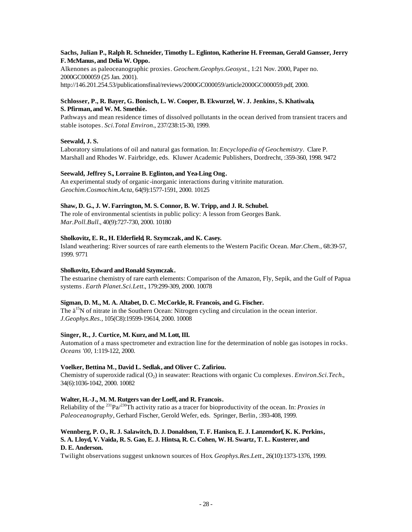# **Sachs, Julian P., Ralph R. Schneider, Timothy L. Eglinton, Katherine H. Freeman, Gerald Gansser, Jerry F. McManus, and Delia W. Oppo.**

Alkenones as paleoceanographic proxies. *Geochem.Geophys.Geosyst.,* 1:21 Nov. 2000, Paper no. 2000GC000059 (25 Jan. 2001).

http://146.201.254.53/publicationsfinal/reviews/2000GC000059/article2000GC000059.pdf, 2000.

# **Schlosser, P., R. Bayer, G. Bonisch, L. W. Cooper, B. Ekwurzel, W. J. Jenkins, S. Khatiwala, S. Pfirman, and W. M. Smethie.**

Pathways and mean residence times of dissolved pollutants in the ocean derived from transient tracers and stable isotopes. *Sci.Total Environ.*, 237/238:15-30, 1999.

# **Seewald, J. S.**

Laboratory simulations of oil and natural gas formation. In: *Encyclopedia of Geochemistry*. Clare P. Marshall and Rhodes W. Fairbridge, eds. Kluwer Academic Publishers, Dordrecht, :359-360, 1998. 9472

# **Seewald, Jeffrey S., Lorraine B. Eglinton, and Yea-Ling Ong.**

An experimental study of organic-inorganic interactions during vitrinite maturation. *Geochim.Cosmochim.Acta*, 64(9):1577-1591, 2000. 10125

# **Shaw, D. G., J. W. Farrington, M. S. Connor, B. W. Tripp, and J. R. Schubel.**

The role of environmental scientists in public policy: A lesson from Georges Bank. *Mar.Poll.Bull.*, 40(9):727-730, 2000. 10180

# **Sholkovitz, E. R., H. Elderfield, R. Szymczak, and K. Casey.**

Island weathering: River sources of rare earth elements to the Western Pacific Ocean. *Mar.Chem.*, 68:39-57, 1999. 9771

# **Sholkovitz, Edward and Ronald Szymczak.**

The estuarine chemistry of rare earth elements: Comparison of the Amazon, Fly, Sepik, and the Gulf of Papua systems. *Earth Planet.Sci.Lett.*, 179:299-309, 2000. 10078

# **Sigman, D. M., M. A. Altabet, D. C. McCorkle, R. Francois, and G. Fischer.**

The  $a<sup>15</sup>N$  of nitrate in the Southern Ocean: Nitrogen cycling and circulation in the ocean interior. *J.Geophys.Res.*, 105(C8):19599-19614, 2000. 10008

# **Singer, R., J. Curtice, M. Kurz, and M. Lott, III.**

Automation of a mass spectrometer and extraction line for the determination of noble gas isotopes in rocks. *Oceans '00*, 1:119-122, 2000.

# **Voelker, Bettina M., David L. Sedlak, and Oliver C. Zafiriou.**

Chemistry of superoxide radical (O<sub>2</sub>) in seawater: Reactions with organic Cu complexes. *Environ.Sci.Tech.*, 34(6):1036-1042, 2000. 10082

# **Walter, H.-J., M. M. Rutgers van der Loeff, and R. Francois.**

Reliability of the <sup>231</sup>Pa/<sup>230</sup>Th activity ratio as a tracer for bioproductivity of the ocean. In: *Proxies in Paleoceanography*, Gerhard Fischer, Gerold Wefer, eds. Springer, Berlin, :393-408, 1999.

# **Wennberg, P. O., R. J. Salawitch, D. J. Donaldson, T. F. Hanisco, E. J. Lanzendorf, K. K. Perkins, S. A. Lloyd, V. Vaida, R. S. Gao, E. J. Hintsa, R. C. Cohen, W. H. Swartz, T. L. Kusterer, and D. E. Anderson.**

Twilight observations suggest unknown sources of Hox. *Geophys.Res.Lett.*, 26(10):1373-1376, 1999.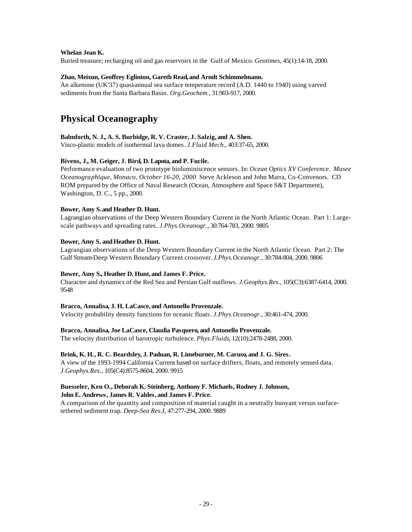## **Whelan Jean K.**

Buried treasure; recharging oil and gas reservoirs in the Gulf of Mexico. *Geotimes*, 45(1):14-18, 2000.

# **Zhao, Meixun, Geoffrey Eglinton, Gareth Read, and Arndt Schimmelmann.**

An alkenone (UK'37) quasi-annual sea surface temperature record (A.D. 1440 to 1940) using varved sediments from the Santa Barbara Basin. *Org.Geochem.*, 31:903-917, 2000.

# **Physical Oceanography**

# **Balmforth, N. J., A. S. Burbidge, R. V. Craster, J. Salzig, and A. Shen.**

Visco-plastic models of isothermal lava domes. *J.Fluid Mech.*, 403:37-65, 2000.

# **Bivens, J., M. Geiger, J. Bird, D. Lapota, and P. Fucile.**

Performance evaluation of two prototype bioluminiscence sensors. In: *Ocean Optics XV Conference. Musee Oceanographique, Monaco, October 16-20, 2000* Steve Ackleson and John Marra, Co-Convenors. CD ROM prepared by the Office of Naval Research (Ocean, Atmosphere and Space S&T Department), Washington, D. C., 5 pp., 2000.

# **Bower, Amy S. and Heather D. Hunt.**

Lagrangian observations of the Deep Western Boundary Current in the North Atlantic Ocean. Part 1: Largescale pathways and spreading rates. *J.Phys.Oceanogr.*, 30:764-783, 2000. 9805

# Bower, Amy S. and Heather D. Hunt.

Lagrangian observations of the Deep Western Boundary Current in the North Atlantic Ocean. Part 2: The Gulf Stream-Deep Western Boundary Current crossover. *J.Phys.Oceanogr.*, 30:784-804, 2000. 9806

# **Bower, Amy S., Heather D. Hunt, and James F. Price.**

Character and dynamics of the Red Sea and Persian Gulf outflows. *J.Geophys.Res.*, 105(C3):6387-6414, 2000. 9548

## **Bracco, Annalisa, J. H. LaCasce, and Antonello Provenzale.**

Velocity probability density functions for oceanic floats. *J.Phys.Oceanogr.*, 30:461-474, 2000.

# **Bracco, Annalisa, Joe LaCasce, Claudia Pasquero, and Antonello Provenzale.**

The velocity distribution of barotropic turbulence. *Phys.Fluids*, 12(10):2478-2488, 2000.

#### **Brink, K. H., R. C. Beardsley, J. Paduan, R. Limeburner, M. Caruso, and J. G. Sires.**

A view of the 1993-1994 California Current based on surface drifters, floats, and remotely sensed data. *J.Geophys.Res.*, 105(C4):8575-8604, 2000. 9915

#### **Buesseler, Ken O., Deborah K. Steinberg, Anthony F. Michaels, Rodney J. Johnson, John E. Andrews, James R. Valdes, and James F. Price.**

A comparison of the quantity and composition of material caught in a neutrally buoyant versus surfacetethered sediment trap. *Deep-Sea Res.I*, 47:277-294, 2000. 9889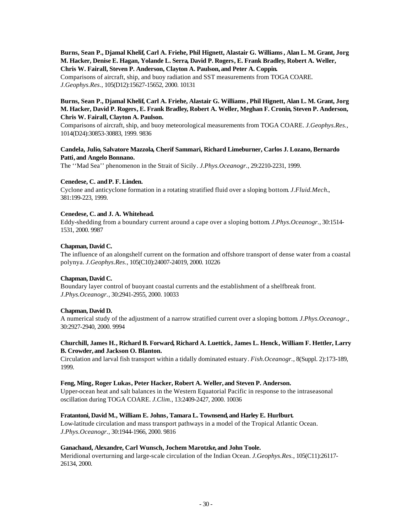# **Burns, Sean P., Djamal Khelif, Carl A. Friehe, Phil Hignett, Alastair G. Williams, Alan L. M. Grant, Jorg M. Hacker, Denise E. Hagan, Yolande L. Serra, David P. Rogers, E. Frank Bradley, Robert A. Weller, Chris W. Fairall, Steven P. Anderson, Clayton A. Paulson, and Peter A. Coppin.**

Comparisons of aircraft, ship, and buoy radiation and SST measurements from TOGA COARE. *J.Geophys.Res.*, 105(D12):15627-15652, 2000. 10131

# **Burns, Sean P., Djamal Khelif, Carl A. Friehe, Alastair G. Williams, Phil Hignett, Alan L. M. Grant, Jorg M. Hacker, David P. Rogers, E. Frank Bradley, Robert A. Weller, Meghan F. Cronin, Steven P. Anderson, Chris W. Fairall, Clayton A. Paulson.**

Comparisons of aircraft, ship, and buoy meteorological measurements from TOGA COARE. *J.Geophys.Res.*, 1014(D24):30853-30883, 1999. 9836

# **Candela, Julio, Salvatore Mazzola, Cherif Sammari, Richard Limeburner, Carlos J. Lozano, Bernardo Patti, and Angelo Bonnano.**

The ''Mad Sea'' phenomenon in the Strait of Sicily. *J.Phys.Oceanogr.*, 29:2210-2231, 1999.

# **Cenedese, C. andP. F. Linden.**

Cyclone and anticyclone formation in a rotating stratified fluid over a sloping bottom. *J.Fluid.Mech.*, 381:199-223, 1999.

# **Cenedese, C. and J. A. Whitehead.**

Eddy-shedding from a boundary current around a cape over a sloping bottom. *J.Phys.Oceanogr.*, 30:1514- 1531, 2000. 9987

# **Chapman, David C.**

The influence of an alongshelf current on the formation and offshore transport of dense water from a coastal polynya. *J.Geophys.Res.*, 105(C10):24007-24019, 2000. 10226

# **Chapman, David C.**

Boundary layer control of buoyant coastal currents and the establishment of a shelfbreak front. *J.Phys.Oceanogr.*, 30:2941-2955, 2000. 10033

# **Chapman, David D.**

A numerical study of the adjustment of a narrow stratified current over a sloping bottom. *J.Phys.Oceanogr.*, 30:2927-2940, 2000. 9994

# **Churchill, James H., Richard B. Forward, Richard A. Luettick, James L. Henck, William F. Hettler, Larry B. Crowder, and Jackson O. Blanton.**

Circulation and larval fish transport within a tidally dominated estuary. *Fish.Oceanogr.*, 8(Suppl. 2):173-189, 1999.

#### **Feng, Ming, Roger Lukas, Peter Hacker, Robert A. Weller, and Steven P. Anderson.**

Upper-ocean heat and salt balances in the Western Equatorial Pacific in response to the intraseasonal oscillation during TOGA COARE. *J.Clim.*, 13:2409-2427, 2000. 10036

# **Fratantoni, David M., William E. Johns, Tamara L. Townsend, and Harley E. Hurlburt.**

Low-latitude circulation and mass transport pathways in a model of the Tropical Atlantic Ocean. *J.Phys.Oceanogr.*, 30:1944-1966, 2000. 9816

#### **Ganachaud, Alexandre, Carl Wunsch, Jochem Marotzke, and John Toole.**

Meridional overturning and large-scale circulation of the Indian Ocean. *J.Geophys.Res.*, 105(C11):26117- 26134, 2000.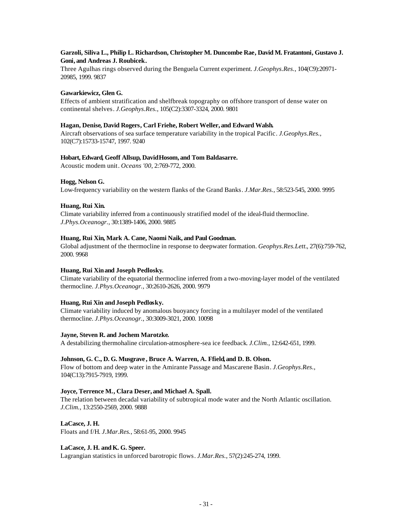# **Garzoli, Siliva L., Philip L. Richardson, Christopher M. Duncombe Rae, David M. Fratantoni, Gustavo J. Goni, and Andreas J. Roubicek.**

Three Agulhas rings observed during the Benguela Current experiment. *J.Geophys.Res.*, 104(C9):20971- 20985, 1999. 9837

# **Gawarkiewicz, Glen G.**

Effects of ambient stratification and shelfbreak topography on offshore transport of dense water on continental shelves. *J.Geophys.Res.*, 105(C2):3307-3324, 2000. 9801

## **Hagan, Denise, David Rogers, Carl Friehe, Robert Weller, and Edward Walsh.**

Aircraft observations of sea surface temperature variability in the tropical Pacific. *J.Geophys.Res.*, 102(C7):15733-15747, 1997. 9240

#### **Hobart, Edward, Geoff Allsup, David Hosom, and Tom Baldasarre.**

Acoustic modem unit. *Oceans '00*, 2:769-772, 2000.

# **Hogg, Nelson G.**

Low-frequency variability on the western flanks of the Grand Banks. *J.Mar.Res.*, 58:523-545, 2000. 9995

# **Huang, Rui Xin.**

Climate variability inferred from a continuously stratified model of the ideal-fluid thermocline. *J.Phys.Oceanogr.*, 30:1389-1406, 2000. 9885

# **Huang, Rui Xin, Mark A. Cane, Naomi Naik, and Paul Goodman.**

Global adjustment of the thermocline in response to deepwater formation. *Geophys.Res.Lett.*, 27(6):759-762, 2000. 9968

#### **Huang, Rui Xin and Joseph Pedlosky.**

Climate variability of the equatorial thermocline inferred from a two-moving-layer model of the ventilated thermocline. *J.Phys.Oceanogr.*, 30:2610-2626, 2000. 9979

# **Huang, Rui Xin andJoseph Pedlosky.**

Climate variability induced by anomalous buoyancy forcing in a multilayer model of the ventilated thermocline. *J.Phys.Oceanogr.*, 30:3009-3021, 2000. 10098

#### **Jayne, Steven R. and Jochem Marotzke.**

A destabilizing thermohaline circulation-atmosphere-sea ice feedback. *J.Clim.*, 12:642-651, 1999.

#### **Johnson, G. C., D. G. Musgrave , Bruce A. Warren, A. Ffield, and D. B. Olson.**

Flow of bottom and deep water in the Amirante Passage and Mascarene Basin. *J.Geophys.Res.*, 104(C13):7915-7919, 1999.

#### **Joyce, Terrence M., Clara Deser, and Michael A. Spall.**

The relation between decadal variability of subtropical mode water and the North Atlantic oscillation. *J.Clim.*, 13:2550-2569, 2000. 9888

# **LaCasce, J. H.**

Floats and f/H. *J.Mar.Res.*, 58:61-95, 2000. 9945

#### LaCasce, J. H. and K. G. Speer.

Lagrangian statistics in unforced barotropic flows. *J.Mar.Res.*, 57(2):245-274, 1999.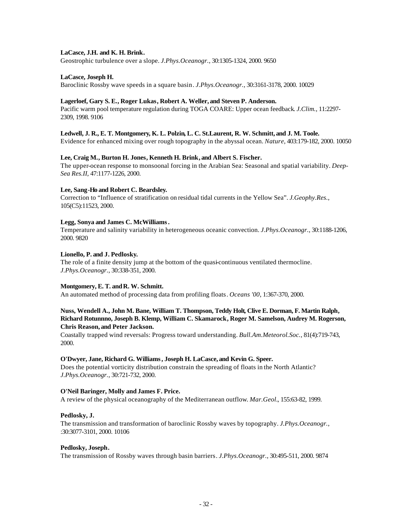## **LaCasce, J.H. and K. H. Brink.**

Geostrophic turbulence over a slope. *J.Phys.Oceanogr.*, 30:1305-1324, 2000. 9650

## **LaCasce, Joseph H.**

Baroclinic Rossby wave speeds in a square basin. *J.Phys.Oceanogr.*, 30:3161-3178, 2000. 10029

#### **Lagerloef, Gary S. E., Roger Lukas, Robert A. Weller, and Steven P. Anderson.**

Pacific warm pool temperature regulation during TOGA COARE: Upper ocean feedback. *J.Clim.*, 11:2297- 2309, 1998. 9106

#### **Ledwell, J. R., E. T. Montgomery, K. L. Polzin, L. C. St.Laurent, R. W. Schmitt, and J. M. Toole.**

Evidence for enhanced mixing over rough topography in the abyssal ocean. *Nature*, 403:179-182, 2000. 10050

#### **Lee, Craig M., Burton H. Jones, Kenneth H. Brink, and Albert S. Fischer.**

The upper-ocean response to monsoonal forcing in the Arabian Sea: Seasonal and spatial variability. *Deep-Sea Res.II*, 47:1177-1226, 2000.

#### **Lee, Sang-Ho and Robert C. Beardsley.**

Correction to "Influence of stratification on residual tidal currents in the Yellow Sea". *J.Geophy.Res.*, 105(C5):11523, 2000.

# **Legg, Sonya and James C. McWilliams.**

Temperature and salinity variability in heterogeneous oceanic convection. *J.Phys.Oceanogr.*, 30:1188-1206, 2000. 9820

## **Lionello, P. and J. Pedlosky.**

The role of a finite density jump at the bottom of the quasi-continuous ventilated thermocline. *J.Phys.Oceanogr.*, 30:338-351, 2000.

#### Montgomery, E. T. and R. W. Schmitt.

An automated method of processing data from profiling floats. *Oceans '00*, 1:367-370, 2000.

# **Nuss, Wendell A., John M. Bane, William T. Thompson, Teddy Holt, Clive E. Dorman, F. Martin Ralph, Richard Rotunnno, Joseph B. Klemp, William C. Skamarock, Roger M. Samelson, Audrey M. Rogerson, Chris Reason, and Peter Jackson.**

Coastally trapped wind reversals: Progress toward understanding. *Bull.Am.Meteorol.Soc.*, 81(4):719-743, 2000.

#### **O'Dwyer, Jane, Richard G. Williams, Joseph H. LaCasce, and Kevin G. Speer.**

Does the potential vorticity distribution constrain the spreading of floats in the North Atlantic? *J.Phys.Oceanogr.*, 30:721-732, 2000.

#### **O'Neil Baringer, Molly and James F. Price.**

A review of the physical oceanography of the Mediterranean outflow. *Mar.Geol.*, 155:63-82, 1999.

#### **Pedlosky, J.**

The transmission and transformation of baroclinic Rossby waves by topography. *J.Phys.Oceanogr.*, :30:3077-3101, 2000. 10106

#### **Pedlosky, Joseph.**

The transmission of Rossby waves through basin barriers. *J.Phys.Oceanogr.*, 30:495-511, 2000. 9874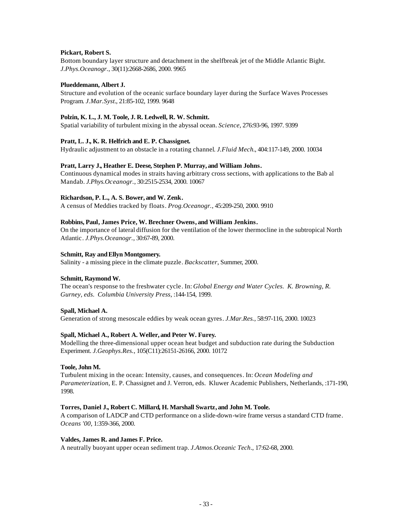# **Pickart, Robert S.**

Bottom boundary layer structure and detachment in the shelfbreak jet of the Middle Atlantic Bight. *J.Phys.Oceanogr.*, 30(11):2668-2686, 2000. 9965

## **Plueddemann, Albert J.**

Structure and evolution of the oceanic surface boundary layer during the Surface Waves Processes Program. *J.Mar.Syst.*, 21:85-102, 1999. 9648

# **Polzin, K. L., J. M. Toole, J. R. Ledwell, R. W. Schmitt.**

Spatial variability of turbulent mixing in the abyssal ocean. *Science*, 276:93-96, 1997. 9399

# **Pratt, L. J., K. R. Helfrich and E. P. Chassignet.**

Hydraulic adjustment to an obstacle in a rotating channel. *J.Fluid Mech.*, 404:117-149, 2000. 10034

# **Pratt, Larry J., Heather E. Deese, Stephen P. Murray, and William Johns.**

Continuous dynamical modes in straits having arbitrary cross sections, with applications to the Bab al Mandab. *J.Phys.Oceanogr.*, 30:2515-2534, 2000. 10067

# **Richardson, P. L., A. S. Bower, and W. Zenk.**

A census of Meddies tracked by floats. *Prog.Oceanogr.*, 45:209-250, 2000. 9910

# **Robbins, Paul, James Price, W. Brechner Owens, and William Jenkins.**

On the importance of lateral diffusion for the ventilation of the lower thermocline in the subtropical North Atlantic. *J.Phys.Oceanogr.*, 30:67-89, 2000.

# **Schmitt, Ray and Ellyn Montgomery.**

Salinity - a missing piece in the climate puzzle. *Backscatter*, Summer, 2000.

# **Schmitt, Raymond W.**

The ocean's response to the freshwater cycle. In: *Global Energy and Water Cycles. K. Browning, R. Gurney, eds. Columbia University Press*, :144-154, 1999.

# **Spall, Michael A.**

Generation of strong mesoscale eddies by weak ocean gyres. *J.Mar.Res.*, 58:97-116, 2000. 10023

# **Spall, Michael A., Robert A. Weller, and Peter W. Furey.**

Modelling the three-dimensional upper ocean heat budget and subduction rate during the Subduction Experiment. *J.Geophys.Res.*, 105(C11):26151-26166, 2000. 10172

#### **Toole, John M.**

Turbulent mixing in the ocean: Intensity, causes, and consequences. In: *Ocean Modeling and Parameterization*, E. P. Chassignet and J. Verron, eds. Kluwer Academic Publishers, Netherlands, :171-190, 1998.

#### **Torres, Daniel J., Robert C. Millard, H. Marshall Swartz, and John M. Toole.**

A comparison of LADCP and CTD performance on a slide-down-wire frame versus a standard CTD frame. *Oceans '00*, 1:359-366, 2000.

#### **Valdes, James R. and James F. Price.**

A neutrally buoyant upper ocean sediment trap. *J.Atmos.Oceanic Tech.*, 17:62-68, 2000.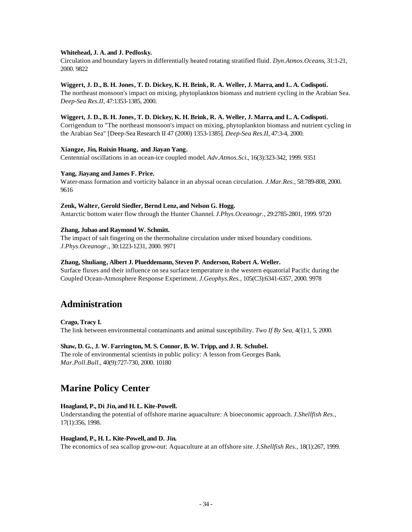# **Whitehead, J. A. and J. Pedlosky.**

Circulation and boundary layers in differentially heated rotating stratified fluid. *Dyn.Atmos.Oceans*, 31:1-21, 2000. 9822

# **Wiggert, J. D., B. H. Jones, T. D. Dickey, K. H. Brink, R. A. Weller, J. Marra, and L. A. Codispoti.**

The northeast monsoon's impact on mixing, phytoplankton biomass and nutrient cycling in the Arabian Sea. *Deep-Sea Res.II*, 47:1353-1385, 2000.

#### **Wiggert, J. D., B. H. Jones, T. D. Dickey, K. H. Brink, R. A. Weller, J. Marra, and L. A. Codispoti.**

Corrigendum to "The northeast monsoon's impact on mixing, phytoplankton biomass and nutrient cycling in the Arabian Sea" [Deep-Sea Research II 47 (2000) 1353-1385]. *Deep-Sea Res.II*, 47:3-4, 2000.

#### **Xiangze, Jin, Ruixin Huang, and Jiayan Yang.**

Centennial oscillations in an ocean-ice coupled model. *Adv.Atmos.Sci.*, 16(3):323-342, 1999. 9351

#### **Yang, Jiayang andJames F. Price.**

Water-mass formation and vorticity balance in an abyssal ocean circulation. *J.Mar.Res.*, 58:789-808, 2000. 9616

#### **Zenk, Walter, Gerold Siedler, Bernd Lenz, and Nelson G. Hogg.**

Antarctic bottom water flow through the Hunter Channel. *J.Phys.Oceanogr.*, 29:2785-2801, 1999. 9720

#### **Zhang, Jubao and Raymond W. Schmitt.**

The impact of salt fingering on the thermohaline circulation under mixed boundary conditions. *J.Phys.Oceanogr.*, 30:1223-1231, 2000. 9971

#### **Zhang, Shuliang, Albert J. Plueddemann, Steven P. Anderson, Robert A. Weller.**

Surface fluxes and their influence on sea surface temperature in the western equatorial Pacific during the Coupled Ocean-Atmosphere Response Experiment. *J.Geophys.Res.*, 105(C3):6341-6357, 2000. 9978

# **Administration**

**Crago, Tracy I.** The link between environmental contaminants and animal susceptibility. *Two If By Sea*, 4(1):1, 5, 2000.

#### **Shaw, D. G., J. W. Farrington, M. S. Connor, B. W. Tripp, and J. R. Schubel.**

The role of environmental scientists in public policy: A lesson from Georges Bank. *Mar.Poll.Bull.*, 40(9):727-730, 2000. 10180

# **Marine Policy Center**

## **Hoagland, P., Di Jin, and H. L. Kite-Powell.**

Understanding the potential of offshore marine aquaculture: A bioeconomic approach. *J.Shellfish Res.*, 17(1):356, 1998.

#### **Hoagland, P., H. L. Kite-Powell, and D. Jin.**

The economics of sea scallop grow-out: Aquaculture at an offshore site. *J.Shellfish Res.*, 18(1):267, 1999.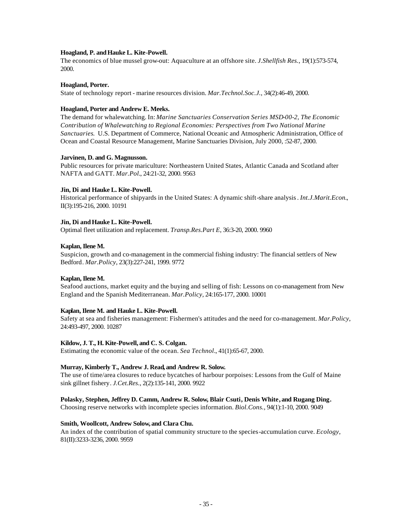## Hoagland, P. and Hauke L. Kite-Powell.

The economics of blue mussel grow-out: Aquaculture at an offshore site. *J.Shellfish Res.*, 19(1):573-574, 2000.

# **Hoagland, Porter.**

State of technology report - marine resources division. *Mar.Technol.Soc.J.*, 34(2):46-49, 2000.

# **Hoagland, Porter and Andrew E. Meeks.**

The demand for whalewatching. In: *Marine Sanctuaries Conservation Series MSD-00-2, The Economic Contribution of Whalewatching to Regional Economies: Perspectives from Two National Marine Sanctuaries.* U.S. Department of Commerce, National Oceanic and Atmospheric Administration, Office of Ocean and Coastal Resource Management, Marine Sanctuaries Division, July 2000, :52-87, 2000.

# **Jarvinen, D. and G. Magnusson.**

Public resources for private mariculture: Northeastern United States, Atlantic Canada and Scotland after NAFTA and GATT. *Mar.Pol.*, 24:21-32, 2000. 9563

# **Jin, Di and Hauke L. Kite-Powell.**

Historical performance of shipyards in the United States: A dynamic shift-share analysis. *Int.J.Marit.Econ.*, II(3):195-216, 2000. 10191

# **Jin, Di and Hauke L. Kite-Powell.**

Optimal fleet utilization and replacement. *Transp.Res.Part E*, 36:3-20, 2000. 9960

# **Kaplan, Ilene M.**

Suspicion, growth and co-management in the commercial fishing industry: The financial settlers of New Bedford. *Mar.Policy*, 23(3):227-241, 1999. 9772

# **Kaplan, Ilene M.**

Seafood auctions, market equity and the buying and selling of fish: Lessons on co-management from New England and the Spanish Mediterranean. *Mar.Policy*, 24:165-177, 2000. 10001

# **Kaplan, Ilene M. and Hauke L. Kite-Powell.**

Safety at sea and fisheries management: Fishermen's attitudes and the need for co-management. *Mar.Policy*, 24:493-497, 2000. 10287

#### **Kildow, J. T., H. Kite-Powell, and C. S. Colgan.**

Estimating the economic value of the ocean. *Sea Technol.*, 41(1):65-67, 2000.

#### **Murray, Kimberly T., Andrew J. Read, and Andrew R. Solow.**

The use of time/area closures to reduce bycatches of harbour porpoises: Lessons from the Gulf of Maine sink gillnet fishery. *J.Cet.Res.*, 2(2):135-141, 2000. 9922

## **Polasky, Stephen, Jeffrey D. Camm, Andrew R. Solow, Blair Csuti, Denis White, and Rugang Ding.**

Choosing reserve networks with incomplete species information. *Biol.Cons.*, 94(1):1-10, 2000. 9049

#### **Smith, Woollcott, Andrew Solow, and Clara Chu.**

An index of the contribution of spatial community structure to the species-accumulation curve. *Ecology*, 81(II):3233-3236, 2000. 9959